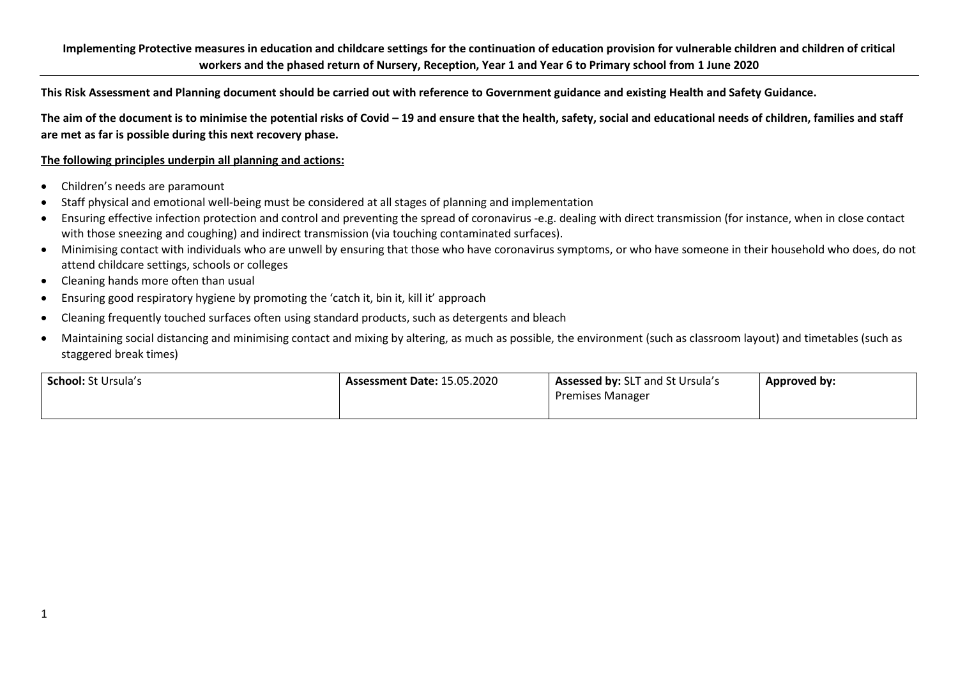**This Risk Assessment and Planning document should be carried out with reference to Government guidance and existing Health and Safety Guidance.** 

The aim of the document is to minimise the potential risks of Covid – 19 and ensure that the health, safety, social and educational needs of children, families and staff **are met as far is possible during this next recovery phase.** 

## **The following principles underpin all planning and actions:**

- Children's needs are paramount
- Staff physical and emotional well-being must be considered at all stages of planning and implementation
- Ensuring effective infection protection and control and preventing the spread of coronavirus -e.g. dealing with direct transmission (for instance, when in close contact with those sneezing and coughing) and indirect transmission (via touching contaminated surfaces).
- Minimising contact with individuals who are unwell by ensuring that those who have coronavirus symptoms, or who have someone in their household who does, do not attend childcare settings, schools or colleges
- Cleaning hands more often than usual
- Ensuring good respiratory hygiene by promoting the 'catch it, bin it, kill it' approach
- Cleaning frequently touched surfaces often using standard products, such as detergents and bleach
- Maintaining social distancing and minimising contact and mixing by altering, as much as possible, the environment (such as classroom layout) and timetables (such as staggered break times)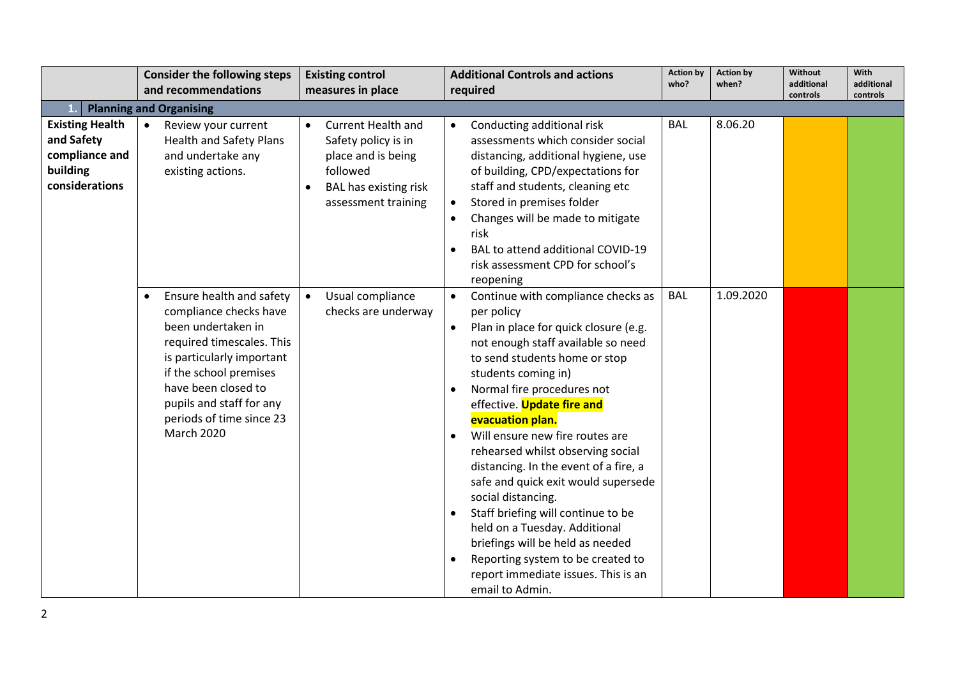|                        | <b>Consider the following steps</b>   | <b>Existing control</b>                   | <b>Additional Controls and actions</b>          | <b>Action by</b><br>who? | <b>Action by</b><br>when? | Without<br>additional | With<br>additional |
|------------------------|---------------------------------------|-------------------------------------------|-------------------------------------------------|--------------------------|---------------------------|-----------------------|--------------------|
|                        | and recommendations                   | measures in place                         | required                                        |                          |                           | controls              | controls           |
|                        | <b>Planning and Organising</b>        |                                           |                                                 |                          |                           |                       |                    |
| <b>Existing Health</b> | Review your current<br>$\bullet$      | <b>Current Health and</b><br>$\bullet$    | Conducting additional risk<br>$\bullet$         | <b>BAL</b>               | 8.06.20                   |                       |                    |
| and Safety             | <b>Health and Safety Plans</b>        | Safety policy is in                       | assessments which consider social               |                          |                           |                       |                    |
| compliance and         | and undertake any                     | place and is being                        | distancing, additional hygiene, use             |                          |                           |                       |                    |
| building               | existing actions.                     | followed                                  | of building, CPD/expectations for               |                          |                           |                       |                    |
| considerations         |                                       | <b>BAL has existing risk</b><br>$\bullet$ | staff and students, cleaning etc                |                          |                           |                       |                    |
|                        |                                       | assessment training                       | Stored in premises folder<br>$\bullet$          |                          |                           |                       |                    |
|                        |                                       |                                           | Changes will be made to mitigate<br>$\bullet$   |                          |                           |                       |                    |
|                        |                                       |                                           | risk                                            |                          |                           |                       |                    |
|                        |                                       |                                           | BAL to attend additional COVID-19<br>$\bullet$  |                          |                           |                       |                    |
|                        |                                       |                                           | risk assessment CPD for school's                |                          |                           |                       |                    |
|                        |                                       |                                           | reopening                                       |                          |                           |                       |                    |
|                        | Ensure health and safety<br>$\bullet$ | Usual compliance<br>$\bullet$             | Continue with compliance checks as<br>$\bullet$ | <b>BAL</b>               | 1.09.2020                 |                       |                    |
|                        | compliance checks have                | checks are underway                       | per policy                                      |                          |                           |                       |                    |
|                        | been undertaken in                    |                                           | Plan in place for quick closure (e.g.           |                          |                           |                       |                    |
|                        | required timescales. This             |                                           | not enough staff available so need              |                          |                           |                       |                    |
|                        | is particularly important             |                                           | to send students home or stop                   |                          |                           |                       |                    |
|                        | if the school premises                |                                           | students coming in)                             |                          |                           |                       |                    |
|                        | have been closed to                   |                                           | Normal fire procedures not<br>$\bullet$         |                          |                           |                       |                    |
|                        | pupils and staff for any              |                                           | effective. Update fire and                      |                          |                           |                       |                    |
|                        | periods of time since 23              |                                           | evacuation plan.                                |                          |                           |                       |                    |
|                        | <b>March 2020</b>                     |                                           | Will ensure new fire routes are<br>$\bullet$    |                          |                           |                       |                    |
|                        |                                       |                                           | rehearsed whilst observing social               |                          |                           |                       |                    |
|                        |                                       |                                           | distancing. In the event of a fire, a           |                          |                           |                       |                    |
|                        |                                       |                                           | safe and quick exit would supersede             |                          |                           |                       |                    |
|                        |                                       |                                           | social distancing.                              |                          |                           |                       |                    |
|                        |                                       |                                           | Staff briefing will continue to be              |                          |                           |                       |                    |
|                        |                                       |                                           | held on a Tuesday. Additional                   |                          |                           |                       |                    |
|                        |                                       |                                           | briefings will be held as needed                |                          |                           |                       |                    |
|                        |                                       |                                           | Reporting system to be created to<br>$\bullet$  |                          |                           |                       |                    |
|                        |                                       |                                           | report immediate issues. This is an             |                          |                           |                       |                    |
|                        |                                       |                                           | email to Admin.                                 |                          |                           |                       |                    |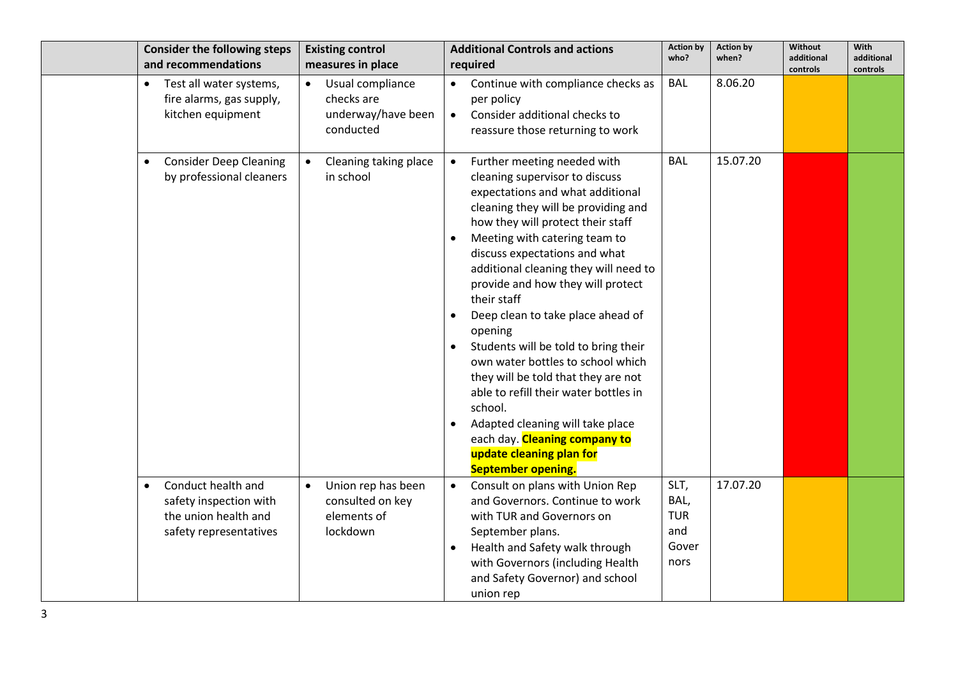| <b>Consider the following steps</b><br>and recommendations                                                  | <b>Existing control</b><br>measures in place                                   | <b>Additional Controls and actions</b><br>required                                                                                                                                                                                                                                                                                                                                                                                                                                                                                                                                                                                                                                                              | <b>Action by</b><br>who?                           | <b>Action by</b><br>when? | <b>Without</b><br>additional<br>controls | With<br>additional<br>controls |
|-------------------------------------------------------------------------------------------------------------|--------------------------------------------------------------------------------|-----------------------------------------------------------------------------------------------------------------------------------------------------------------------------------------------------------------------------------------------------------------------------------------------------------------------------------------------------------------------------------------------------------------------------------------------------------------------------------------------------------------------------------------------------------------------------------------------------------------------------------------------------------------------------------------------------------------|----------------------------------------------------|---------------------------|------------------------------------------|--------------------------------|
| Test all water systems,<br>$\bullet$<br>fire alarms, gas supply,<br>kitchen equipment                       | Usual compliance<br>checks are<br>underway/have been<br>conducted              | Continue with compliance checks as<br>$\bullet$<br>per policy<br>Consider additional checks to<br>$\bullet$<br>reassure those returning to work                                                                                                                                                                                                                                                                                                                                                                                                                                                                                                                                                                 | BAL                                                | 8.06.20                   |                                          |                                |
| <b>Consider Deep Cleaning</b><br>$\bullet$<br>by professional cleaners                                      | Cleaning taking place<br>in school                                             | Further meeting needed with<br>$\bullet$<br>cleaning supervisor to discuss<br>expectations and what additional<br>cleaning they will be providing and<br>how they will protect their staff<br>Meeting with catering team to<br>discuss expectations and what<br>additional cleaning they will need to<br>provide and how they will protect<br>their staff<br>Deep clean to take place ahead of<br>opening<br>Students will be told to bring their<br>own water bottles to school which<br>they will be told that they are not<br>able to refill their water bottles in<br>school.<br>Adapted cleaning will take place<br>each day. Cleaning company to<br>update cleaning plan for<br><b>September opening.</b> | <b>BAL</b>                                         | 15.07.20                  |                                          |                                |
| Conduct health and<br>$\bullet$<br>safety inspection with<br>the union health and<br>safety representatives | Union rep has been<br>$\bullet$<br>consulted on key<br>elements of<br>lockdown | Consult on plans with Union Rep<br>$\bullet$<br>and Governors. Continue to work<br>with TUR and Governors on<br>September plans.<br>Health and Safety walk through<br>with Governors (including Health<br>and Safety Governor) and school<br>union rep                                                                                                                                                                                                                                                                                                                                                                                                                                                          | SLT,<br>BAL,<br><b>TUR</b><br>and<br>Gover<br>nors | 17.07.20                  |                                          |                                |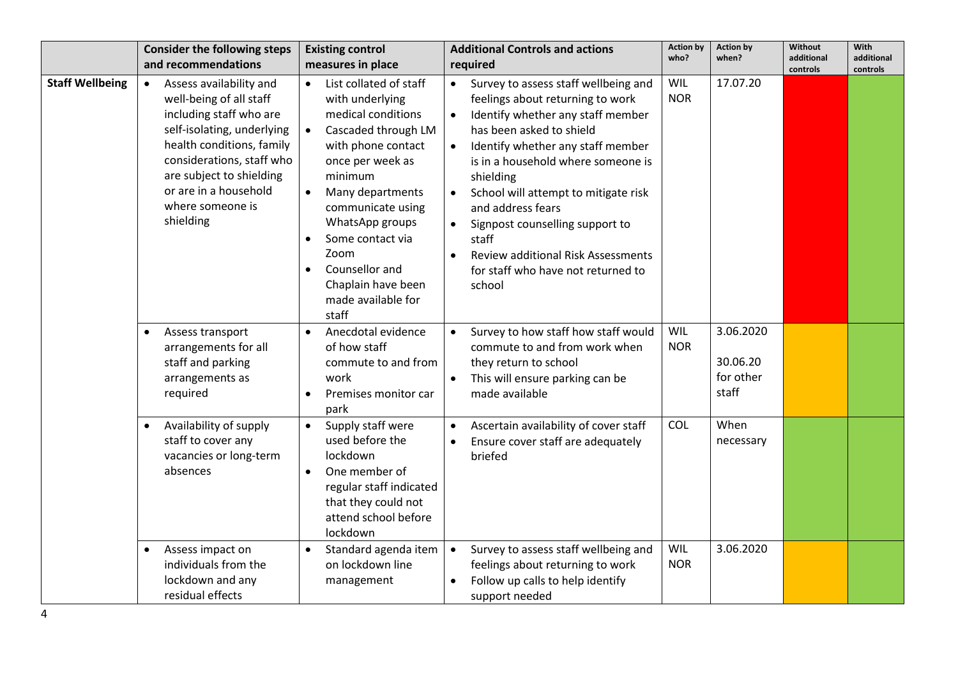| <b>Consider the following steps</b><br>and recommendations                                                                                                                                                                                                               | <b>Existing control</b><br>measures in place                                                                                                                                                                                                                                                                                                                                | <b>Additional Controls and actions</b><br>required                                                                                                                                                                                                                                                                                                                                                                                                                                                       | <b>Action by</b><br>who? | <b>Action by</b><br>when?                           | <b>Without</b><br>additional<br>controls | <b>With</b><br>additional<br>controls |
|--------------------------------------------------------------------------------------------------------------------------------------------------------------------------------------------------------------------------------------------------------------------------|-----------------------------------------------------------------------------------------------------------------------------------------------------------------------------------------------------------------------------------------------------------------------------------------------------------------------------------------------------------------------------|----------------------------------------------------------------------------------------------------------------------------------------------------------------------------------------------------------------------------------------------------------------------------------------------------------------------------------------------------------------------------------------------------------------------------------------------------------------------------------------------------------|--------------------------|-----------------------------------------------------|------------------------------------------|---------------------------------------|
| Assess availability and<br>$\bullet$<br>well-being of all staff<br>including staff who are<br>self-isolating, underlying<br>health conditions, family<br>considerations, staff who<br>are subject to shielding<br>or are in a household<br>where someone is<br>shielding | List collated of staff<br>$\bullet$<br>with underlying<br>medical conditions<br>Cascaded through LM<br>$\bullet$<br>with phone contact<br>once per week as<br>minimum<br>Many departments<br>$\bullet$<br>communicate using<br>WhatsApp groups<br>Some contact via<br>$\bullet$<br>Zoom<br>Counsellor and<br>$\bullet$<br>Chaplain have been<br>made available for<br>staff | Survey to assess staff wellbeing and<br>$\bullet$<br>feelings about returning to work<br>Identify whether any staff member<br>has been asked to shield<br>Identify whether any staff member<br>$\bullet$<br>is in a household where someone is<br>shielding<br>School will attempt to mitigate risk<br>$\bullet$<br>and address fears<br>Signpost counselling support to<br>$\bullet$<br>staff<br><b>Review additional Risk Assessments</b><br>$\bullet$<br>for staff who have not returned to<br>school | WIL<br><b>NOR</b>        | 17.07.20                                            |                                          |                                       |
| Assess transport<br>$\bullet$<br>arrangements for all<br>staff and parking<br>arrangements as<br>required<br>Availability of supply<br>$\bullet$<br>staff to cover any                                                                                                   | Anecdotal evidence<br>$\bullet$<br>of how staff<br>commute to and from<br>work<br>Premises monitor car<br>park<br>Supply staff were<br>$\bullet$<br>used before the                                                                                                                                                                                                         | Survey to how staff how staff would<br>commute to and from work when<br>they return to school<br>This will ensure parking can be<br>made available<br>Ascertain availability of cover staff<br>$\bullet$                                                                                                                                                                                                                                                                                                 | WIL<br><b>NOR</b><br>COL | 3.06.2020<br>30.06.20<br>for other<br>staff<br>When |                                          |                                       |
| vacancies or long-term<br>absences                                                                                                                                                                                                                                       | lockdown<br>One member of<br>$\bullet$<br>regular staff indicated<br>that they could not<br>attend school before<br>lockdown                                                                                                                                                                                                                                                | Ensure cover staff are adequately<br>briefed                                                                                                                                                                                                                                                                                                                                                                                                                                                             |                          | necessary                                           |                                          |                                       |
| Assess impact on<br>$\bullet$<br>individuals from the<br>lockdown and any<br>residual effects                                                                                                                                                                            | Standard agenda item<br>$\bullet$<br>on lockdown line<br>management                                                                                                                                                                                                                                                                                                         | Survey to assess staff wellbeing and<br>$\bullet$<br>feelings about returning to work<br>Follow up calls to help identify<br>$\bullet$<br>support needed                                                                                                                                                                                                                                                                                                                                                 | WIL<br><b>NOR</b>        | 3.06.2020                                           |                                          |                                       |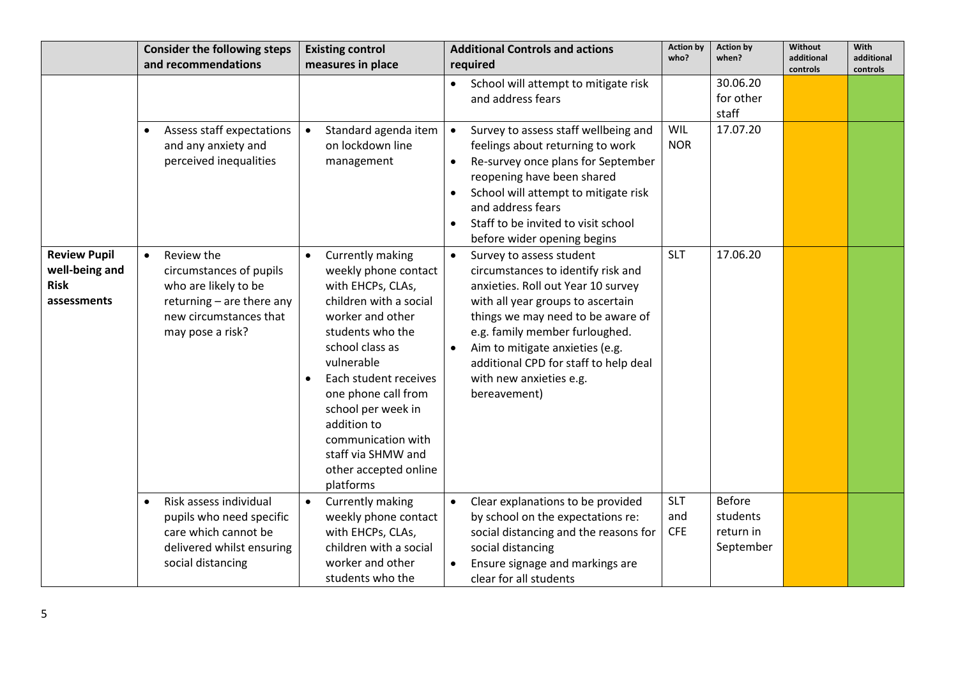|                                                                     | <b>Consider the following steps</b><br>and recommendations                                                                                            | <b>Existing control</b><br>measures in place                                                                                                                                                                                                                                                                                                                      | <b>Additional Controls and actions</b><br>required                                                                                                                                                                                                                                                                                                   | <b>Action by</b><br>who?        | <b>Action by</b><br>when?                           | Without<br>additional | With<br>additional |
|---------------------------------------------------------------------|-------------------------------------------------------------------------------------------------------------------------------------------------------|-------------------------------------------------------------------------------------------------------------------------------------------------------------------------------------------------------------------------------------------------------------------------------------------------------------------------------------------------------------------|------------------------------------------------------------------------------------------------------------------------------------------------------------------------------------------------------------------------------------------------------------------------------------------------------------------------------------------------------|---------------------------------|-----------------------------------------------------|-----------------------|--------------------|
|                                                                     |                                                                                                                                                       |                                                                                                                                                                                                                                                                                                                                                                   | School will attempt to mitigate risk<br>and address fears                                                                                                                                                                                                                                                                                            |                                 | 30.06.20<br>for other<br>staff                      | controls              | controls           |
|                                                                     | Assess staff expectations<br>$\bullet$<br>and any anxiety and<br>perceived inequalities                                                               | Standard agenda item<br>$\bullet$<br>on lockdown line<br>management                                                                                                                                                                                                                                                                                               | Survey to assess staff wellbeing and<br>$\bullet$<br>feelings about returning to work<br>Re-survey once plans for September<br>$\bullet$<br>reopening have been shared<br>School will attempt to mitigate risk<br>and address fears<br>Staff to be invited to visit school<br>before wider opening begins                                            | WIL<br><b>NOR</b>               | 17.07.20                                            |                       |                    |
| <b>Review Pupil</b><br>well-being and<br><b>Risk</b><br>assessments | Review the<br>$\bullet$<br>circumstances of pupils<br>who are likely to be<br>returning - are there any<br>new circumstances that<br>may pose a risk? | Currently making<br>$\bullet$<br>weekly phone contact<br>with EHCPs, CLAs,<br>children with a social<br>worker and other<br>students who the<br>school class as<br>vulnerable<br>Each student receives<br>$\bullet$<br>one phone call from<br>school per week in<br>addition to<br>communication with<br>staff via SHMW and<br>other accepted online<br>platforms | Survey to assess student<br>$\bullet$<br>circumstances to identify risk and<br>anxieties. Roll out Year 10 survey<br>with all year groups to ascertain<br>things we may need to be aware of<br>e.g. family member furloughed.<br>Aim to mitigate anxieties (e.g.<br>additional CPD for staff to help deal<br>with new anxieties e.g.<br>bereavement) | <b>SLT</b>                      | 17.06.20                                            |                       |                    |
|                                                                     | Risk assess individual<br>$\bullet$<br>pupils who need specific<br>care which cannot be<br>delivered whilst ensuring<br>social distancing             | Currently making<br>$\bullet$<br>weekly phone contact<br>with EHCPs, CLAs,<br>children with a social<br>worker and other<br>students who the                                                                                                                                                                                                                      | Clear explanations to be provided<br>by school on the expectations re:<br>social distancing and the reasons for<br>social distancing<br>Ensure signage and markings are<br>clear for all students                                                                                                                                                    | <b>SLT</b><br>and<br><b>CFE</b> | <b>Before</b><br>students<br>return in<br>September |                       |                    |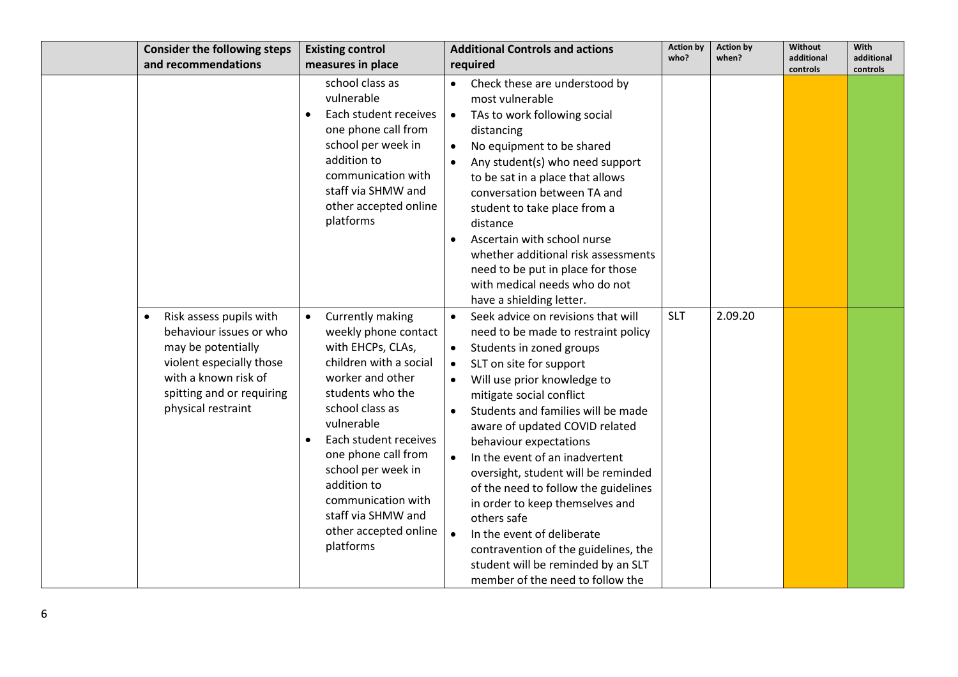|           | <b>Consider the following steps</b><br>and recommendations                                                                                                                      | <b>Existing control</b><br>measures in place                                                                                                                                                                                                                                                                                                                      | <b>Additional Controls and actions</b><br>required                                                                                                                                                                                                                                                                                                                                                                                                                                                                                                                                                                                                                   | <b>Action by</b><br>who? | <b>Action by</b><br>when? | <b>Without</b><br>additional<br>controls | With<br>additional<br>controls |
|-----------|---------------------------------------------------------------------------------------------------------------------------------------------------------------------------------|-------------------------------------------------------------------------------------------------------------------------------------------------------------------------------------------------------------------------------------------------------------------------------------------------------------------------------------------------------------------|----------------------------------------------------------------------------------------------------------------------------------------------------------------------------------------------------------------------------------------------------------------------------------------------------------------------------------------------------------------------------------------------------------------------------------------------------------------------------------------------------------------------------------------------------------------------------------------------------------------------------------------------------------------------|--------------------------|---------------------------|------------------------------------------|--------------------------------|
|           |                                                                                                                                                                                 | school class as<br>vulnerable<br>Each student receives<br>one phone call from<br>school per week in<br>addition to<br>communication with<br>staff via SHMW and<br>other accepted online<br>platforms                                                                                                                                                              | • Check these are understood by<br>most vulnerable<br>• TAs to work following social<br>distancing<br>No equipment to be shared<br>$\bullet$<br>Any student(s) who need support<br>to be sat in a place that allows<br>conversation between TA and<br>student to take place from a<br>distance<br>Ascertain with school nurse<br>whether additional risk assessments<br>need to be put in place for those<br>with medical needs who do not<br>have a shielding letter.                                                                                                                                                                                               |                          |                           |                                          |                                |
| $\bullet$ | Risk assess pupils with<br>behaviour issues or who<br>may be potentially<br>violent especially those<br>with a known risk of<br>spitting and or requiring<br>physical restraint | Currently making<br>$\bullet$<br>weekly phone contact<br>with EHCPs, CLAs,<br>children with a social<br>worker and other<br>students who the<br>school class as<br>vulnerable<br>Each student receives<br>$\bullet$<br>one phone call from<br>school per week in<br>addition to<br>communication with<br>staff via SHMW and<br>other accepted online<br>platforms | Seek advice on revisions that will<br>$\bullet$<br>need to be made to restraint policy<br>Students in zoned groups<br>$\bullet$<br>SLT on site for support<br>Will use prior knowledge to<br>$\bullet$<br>mitigate social conflict<br>Students and families will be made<br>aware of updated COVID related<br>behaviour expectations<br>In the event of an inadvertent<br>oversight, student will be reminded<br>of the need to follow the guidelines<br>in order to keep themselves and<br>others safe<br>In the event of deliberate<br>$\bullet$<br>contravention of the guidelines, the<br>student will be reminded by an SLT<br>member of the need to follow the | <b>SLT</b>               | 2.09.20                   |                                          |                                |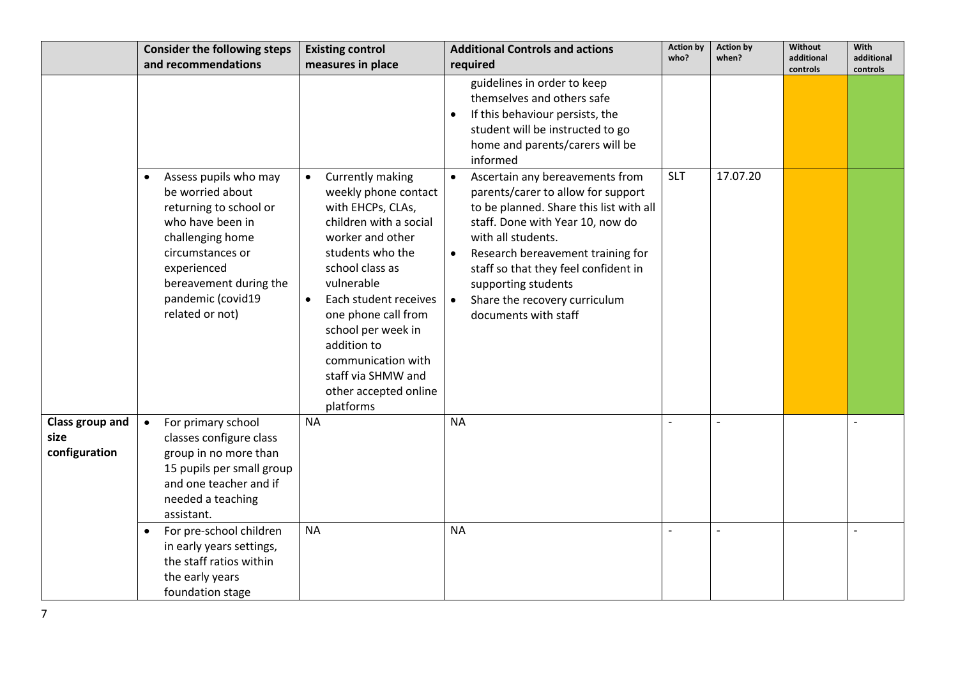|                                          | <b>Consider the following steps</b><br>and recommendations                                                                                                                                                 | <b>Existing control</b><br>measures in place                                                                                                                                                                        | <b>Additional Controls and actions</b><br>required                                                                                                                                                                                                                                                                                                                                                                                                                                                                                        | <b>Action by</b><br>who? | <b>Action by</b><br>when? | Without<br>additional | With<br>additional |
|------------------------------------------|------------------------------------------------------------------------------------------------------------------------------------------------------------------------------------------------------------|---------------------------------------------------------------------------------------------------------------------------------------------------------------------------------------------------------------------|-------------------------------------------------------------------------------------------------------------------------------------------------------------------------------------------------------------------------------------------------------------------------------------------------------------------------------------------------------------------------------------------------------------------------------------------------------------------------------------------------------------------------------------------|--------------------------|---------------------------|-----------------------|--------------------|
|                                          | Assess pupils who may<br>$\bullet$<br>be worried about<br>returning to school or<br>who have been in<br>challenging home<br>circumstances or<br>experienced<br>bereavement during the<br>pandemic (covid19 | Currently making<br>$\bullet$<br>weekly phone contact<br>with EHCPs, CLAs,<br>children with a social<br>worker and other<br>students who the<br>school class as<br>vulnerable<br>Each student receives<br>$\bullet$ | guidelines in order to keep<br>themselves and others safe<br>If this behaviour persists, the<br>student will be instructed to go<br>home and parents/carers will be<br>informed<br>Ascertain any bereavements from<br>$\bullet$<br>parents/carer to allow for support<br>to be planned. Share this list with all<br>staff. Done with Year 10, now do<br>with all students.<br>Research bereavement training for<br>$\bullet$<br>staff so that they feel confident in<br>supporting students<br>Share the recovery curriculum<br>$\bullet$ | <b>SLT</b>               | 17.07.20                  | controls              | controls           |
|                                          | related or not)                                                                                                                                                                                            | one phone call from<br>school per week in<br>addition to<br>communication with<br>staff via SHMW and<br>other accepted online<br>platforms                                                                          | documents with staff                                                                                                                                                                                                                                                                                                                                                                                                                                                                                                                      |                          |                           |                       |                    |
| Class group and<br>size<br>configuration | For primary school<br>$\bullet$<br>classes configure class<br>group in no more than<br>15 pupils per small group<br>and one teacher and if<br>needed a teaching<br>assistant.                              | <b>NA</b>                                                                                                                                                                                                           | <b>NA</b>                                                                                                                                                                                                                                                                                                                                                                                                                                                                                                                                 |                          |                           |                       |                    |
|                                          | For pre-school children<br>in early years settings,<br>the staff ratios within<br>the early years<br>foundation stage                                                                                      | <b>NA</b>                                                                                                                                                                                                           | <b>NA</b>                                                                                                                                                                                                                                                                                                                                                                                                                                                                                                                                 |                          |                           |                       |                    |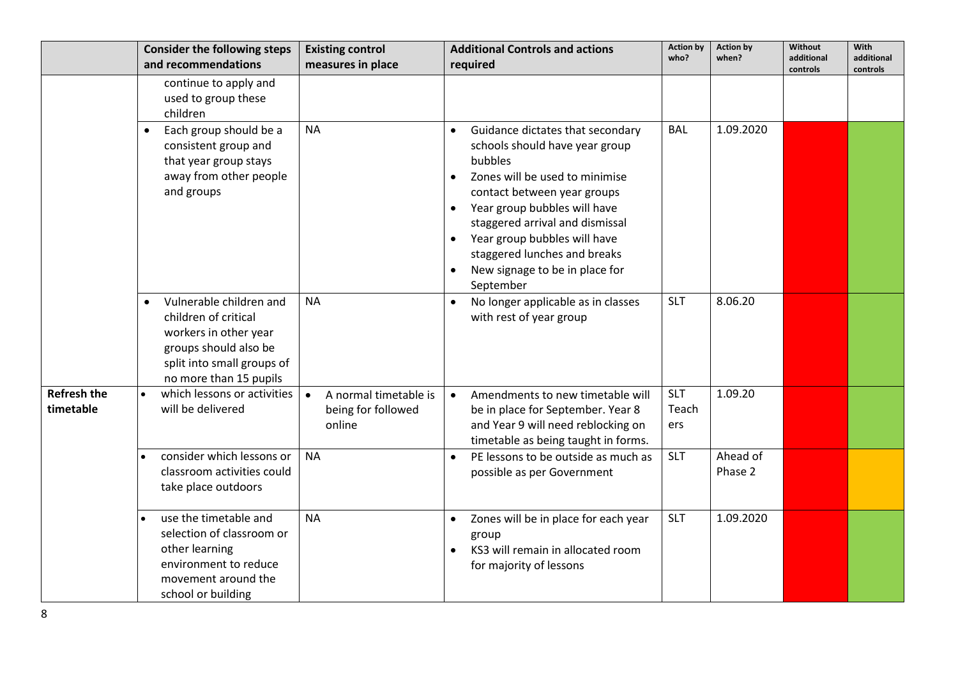|                                 | <b>Consider the following steps</b>                                                                                                                       | <b>Existing control</b>                                            | <b>Additional Controls and actions</b>                                                                                                                                                                                                                                                                                                                                  | <b>Action by</b><br>who?   | <b>Action by</b><br>when? | Without<br>additional | <b>With</b><br>additional |
|---------------------------------|-----------------------------------------------------------------------------------------------------------------------------------------------------------|--------------------------------------------------------------------|-------------------------------------------------------------------------------------------------------------------------------------------------------------------------------------------------------------------------------------------------------------------------------------------------------------------------------------------------------------------------|----------------------------|---------------------------|-----------------------|---------------------------|
|                                 | and recommendations                                                                                                                                       | measures in place                                                  | required                                                                                                                                                                                                                                                                                                                                                                |                            |                           | controls              | controls                  |
|                                 | continue to apply and<br>used to group these<br>children                                                                                                  |                                                                    |                                                                                                                                                                                                                                                                                                                                                                         |                            |                           |                       |                           |
|                                 | Each group should be a<br>consistent group and<br>that year group stays<br>away from other people<br>and groups                                           | <b>NA</b>                                                          | Guidance dictates that secondary<br>schools should have year group<br>bubbles<br>Zones will be used to minimise<br>$\bullet$<br>contact between year groups<br>Year group bubbles will have<br>$\bullet$<br>staggered arrival and dismissal<br>Year group bubbles will have<br>$\bullet$<br>staggered lunches and breaks<br>New signage to be in place for<br>September | <b>BAL</b>                 | 1.09.2020                 |                       |                           |
|                                 | Vulnerable children and<br>children of critical<br>workers in other year<br>groups should also be<br>split into small groups of<br>no more than 15 pupils | <b>NA</b>                                                          | No longer applicable as in classes<br>with rest of year group                                                                                                                                                                                                                                                                                                           | <b>SLT</b>                 | 8.06.20                   |                       |                           |
| <b>Refresh the</b><br>timetable | which lessons or activities<br>will be delivered                                                                                                          | A normal timetable is<br>$\bullet$<br>being for followed<br>online | Amendments to new timetable will<br>$\bullet$<br>be in place for September. Year 8<br>and Year 9 will need reblocking on<br>timetable as being taught in forms.                                                                                                                                                                                                         | <b>SLT</b><br>Teach<br>ers | 1.09.20                   |                       |                           |
|                                 | consider which lessons or<br>classroom activities could<br>take place outdoors                                                                            | <b>NA</b>                                                          | PE lessons to be outside as much as<br>$\bullet$<br>possible as per Government                                                                                                                                                                                                                                                                                          | <b>SLT</b>                 | Ahead of<br>Phase 2       |                       |                           |
|                                 | use the timetable and<br>selection of classroom or<br>other learning<br>environment to reduce<br>movement around the<br>school or building                | <b>NA</b>                                                          | Zones will be in place for each year<br>group<br>KS3 will remain in allocated room<br>$\bullet$<br>for majority of lessons                                                                                                                                                                                                                                              | <b>SLT</b>                 | 1.09.2020                 |                       |                           |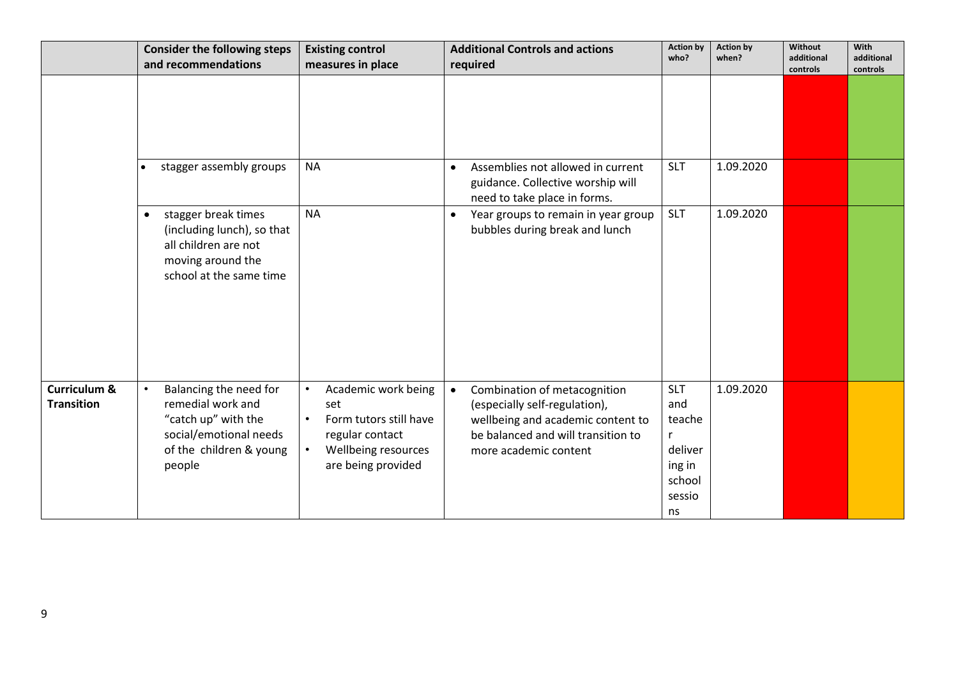|                                   | <b>Consider the following steps</b><br>and recommendations                                                                                     | <b>Existing control</b><br>measures in place                                                                                                   | <b>Additional Controls and actions</b><br>required                                                                                                                             | <b>Action by</b><br>who?                                                                   | <b>Action by</b><br>when? | Without<br>additional<br>controls | With<br>additional<br>controls |
|-----------------------------------|------------------------------------------------------------------------------------------------------------------------------------------------|------------------------------------------------------------------------------------------------------------------------------------------------|--------------------------------------------------------------------------------------------------------------------------------------------------------------------------------|--------------------------------------------------------------------------------------------|---------------------------|-----------------------------------|--------------------------------|
|                                   |                                                                                                                                                |                                                                                                                                                |                                                                                                                                                                                |                                                                                            |                           |                                   |                                |
|                                   | stagger assembly groups                                                                                                                        | <b>NA</b>                                                                                                                                      | Assemblies not allowed in current<br>$\bullet$<br>guidance. Collective worship will<br>need to take place in forms.                                                            | <b>SLT</b>                                                                                 | 1.09.2020                 |                                   |                                |
|                                   | stagger break times<br>$\bullet$<br>(including lunch), so that<br>all children are not<br>moving around the<br>school at the same time         | <b>NA</b>                                                                                                                                      | Year groups to remain in year group<br>$\bullet$<br>bubbles during break and lunch                                                                                             | <b>SLT</b>                                                                                 | 1.09.2020                 |                                   |                                |
| Curriculum &<br><b>Transition</b> | Balancing the need for<br>$\bullet$<br>remedial work and<br>"catch up" with the<br>social/emotional needs<br>of the children & young<br>people | Academic work being<br>$\bullet$<br>set<br>Form tutors still have<br>$\bullet$<br>regular contact<br>Wellbeing resources<br>are being provided | Combination of metacognition<br>$\bullet$<br>(especially self-regulation),<br>wellbeing and academic content to<br>be balanced and will transition to<br>more academic content | <b>SLT</b><br>and<br>teache<br>$\mathsf{r}$<br>deliver<br>ing in<br>school<br>sessio<br>ns | 1.09.2020                 |                                   |                                |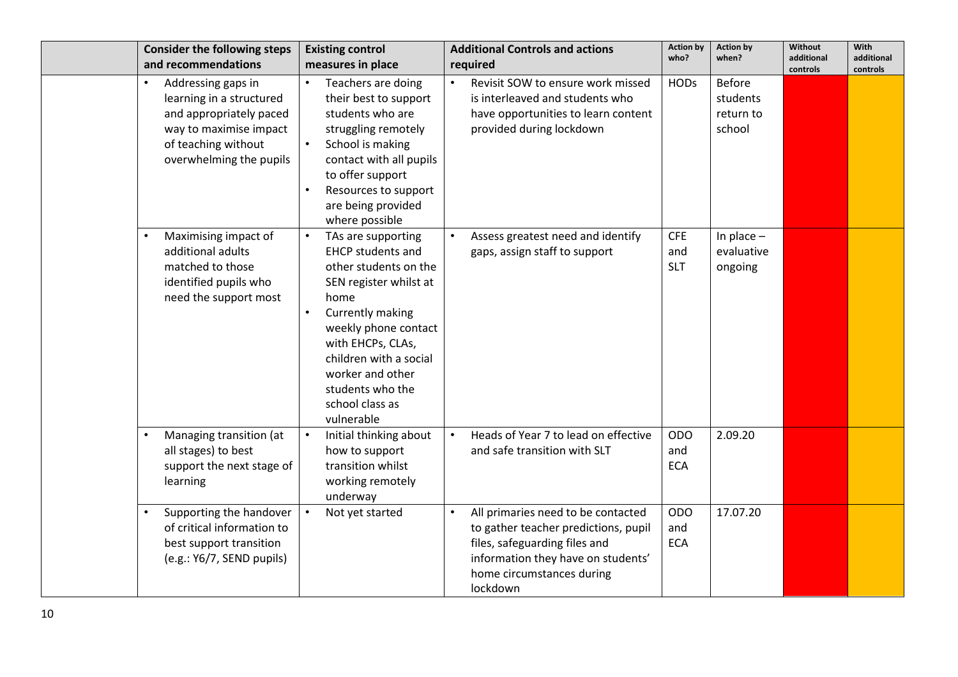| <b>Consider the following steps</b>                                                                                                                                | <b>Existing control</b>                                                                                                                                                                                                                                                       | <b>Additional Controls and actions</b>                                                                                                                                                     | <b>Action by</b>                | <b>Action by</b>                                 | Without                | With                   |
|--------------------------------------------------------------------------------------------------------------------------------------------------------------------|-------------------------------------------------------------------------------------------------------------------------------------------------------------------------------------------------------------------------------------------------------------------------------|--------------------------------------------------------------------------------------------------------------------------------------------------------------------------------------------|---------------------------------|--------------------------------------------------|------------------------|------------------------|
| and recommendations                                                                                                                                                | measures in place                                                                                                                                                                                                                                                             | required                                                                                                                                                                                   | who?                            | when?                                            | additional<br>controls | additional<br>controls |
| Addressing gaps in<br>$\bullet$<br>learning in a structured<br>and appropriately paced<br>way to maximise impact<br>of teaching without<br>overwhelming the pupils | Teachers are doing<br>their best to support<br>students who are<br>struggling remotely<br>School is making<br>contact with all pupils<br>to offer support<br>Resources to support<br>are being provided<br>where possible                                                     | Revisit SOW to ensure work missed<br>is interleaved and students who<br>have opportunities to learn content<br>provided during lockdown                                                    | <b>HODs</b>                     | <b>Before</b><br>students<br>return to<br>school |                        |                        |
| Maximising impact of<br>additional adults<br>matched to those<br>identified pupils who<br>need the support most                                                    | TAs are supporting<br><b>EHCP students and</b><br>other students on the<br>SEN register whilst at<br>home<br>Currently making<br>weekly phone contact<br>with EHCPs, CLAs,<br>children with a social<br>worker and other<br>students who the<br>school class as<br>vulnerable | Assess greatest need and identify<br>gaps, assign staff to support                                                                                                                         | <b>CFE</b><br>and<br><b>SLT</b> | In place $-$<br>evaluative<br>ongoing            |                        |                        |
| Managing transition (at<br>all stages) to best<br>support the next stage of<br>learning                                                                            | Initial thinking about<br>how to support<br>transition whilst<br>working remotely<br>underway                                                                                                                                                                                 | Heads of Year 7 to lead on effective<br>and safe transition with SLT                                                                                                                       | <b>ODO</b><br>and<br><b>ECA</b> | 2.09.20                                          |                        |                        |
| Supporting the handover<br>of critical information to<br>best support transition<br>(e.g.: Y6/7, SEND pupils)                                                      | Not yet started                                                                                                                                                                                                                                                               | All primaries need to be contacted<br>to gather teacher predictions, pupil<br>files, safeguarding files and<br>information they have on students'<br>home circumstances during<br>lockdown | <b>ODO</b><br>and<br><b>ECA</b> | 17.07.20                                         |                        |                        |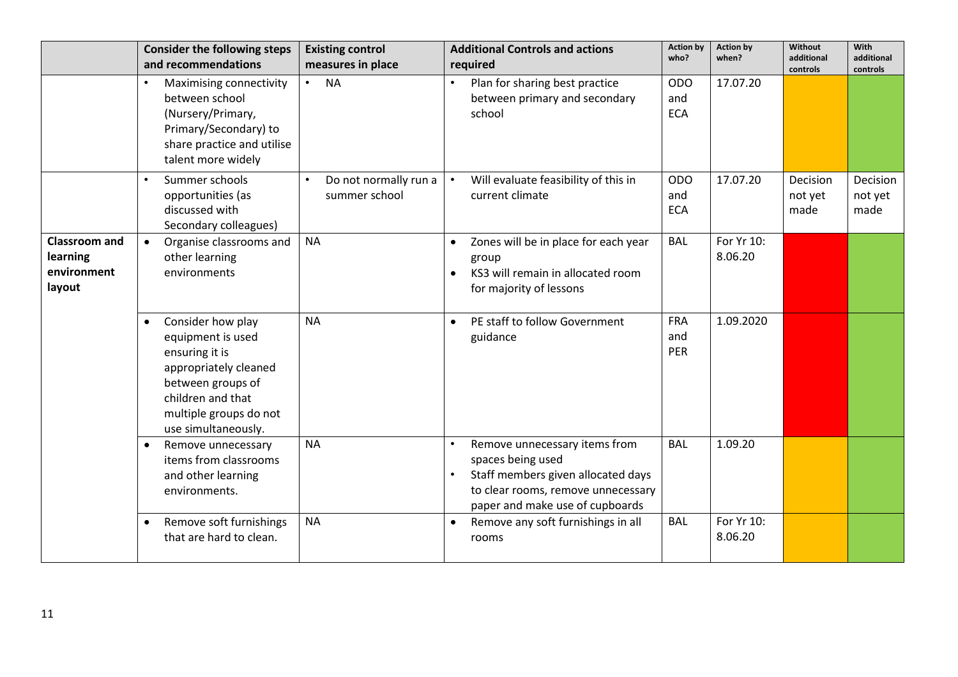|                                                                  | <b>Consider the following steps</b><br>and recommendations                                                                                                                                | <b>Existing control</b><br>measures in place | <b>Additional Controls and actions</b><br>required                                                                                                                             | <b>Action by</b><br>who?        | <b>Action by</b><br>when? | Without<br>additional       | <b>With</b><br>additional   |
|------------------------------------------------------------------|-------------------------------------------------------------------------------------------------------------------------------------------------------------------------------------------|----------------------------------------------|--------------------------------------------------------------------------------------------------------------------------------------------------------------------------------|---------------------------------|---------------------------|-----------------------------|-----------------------------|
|                                                                  | Maximising connectivity<br>between school<br>(Nursery/Primary,<br>Primary/Secondary) to<br>share practice and utilise<br>talent more widely                                               | <b>NA</b><br>$\bullet$                       | Plan for sharing best practice<br>between primary and secondary<br>school                                                                                                      | <b>ODO</b><br>and<br><b>ECA</b> | 17.07.20                  | controls                    | controls                    |
|                                                                  | Summer schools<br>opportunities (as<br>discussed with<br>Secondary colleagues)                                                                                                            | Do not normally run a<br>summer school       | Will evaluate feasibility of this in<br>current climate                                                                                                                        | <b>ODO</b><br>and<br><b>ECA</b> | 17.07.20                  | Decision<br>not yet<br>made | Decision<br>not yet<br>made |
| <b>Classroom and</b><br><b>learning</b><br>environment<br>layout | Organise classrooms and<br>other learning<br>environments                                                                                                                                 | <b>NA</b>                                    | Zones will be in place for each year<br>$\bullet$<br>group<br>KS3 will remain in allocated room<br>$\bullet$<br>for majority of lessons                                        | <b>BAL</b>                      | For Yr 10:<br>8.06.20     |                             |                             |
|                                                                  | Consider how play<br>$\bullet$<br>equipment is used<br>ensuring it is<br>appropriately cleaned<br>between groups of<br>children and that<br>multiple groups do not<br>use simultaneously. | <b>NA</b>                                    | PE staff to follow Government<br>$\bullet$<br>guidance                                                                                                                         | <b>FRA</b><br>and<br>PER        | 1.09.2020                 |                             |                             |
|                                                                  | Remove unnecessary<br>items from classrooms<br>and other learning<br>environments.                                                                                                        | <b>NA</b>                                    | Remove unnecessary items from<br>spaces being used<br>Staff members given allocated days<br>$\bullet$<br>to clear rooms, remove unnecessary<br>paper and make use of cupboards | <b>BAL</b>                      | 1.09.20                   |                             |                             |
|                                                                  | Remove soft furnishings<br>٠<br>that are hard to clean.                                                                                                                                   | <b>NA</b>                                    | Remove any soft furnishings in all<br>$\bullet$<br>rooms                                                                                                                       | <b>BAL</b>                      | For Yr 10:<br>8.06.20     |                             |                             |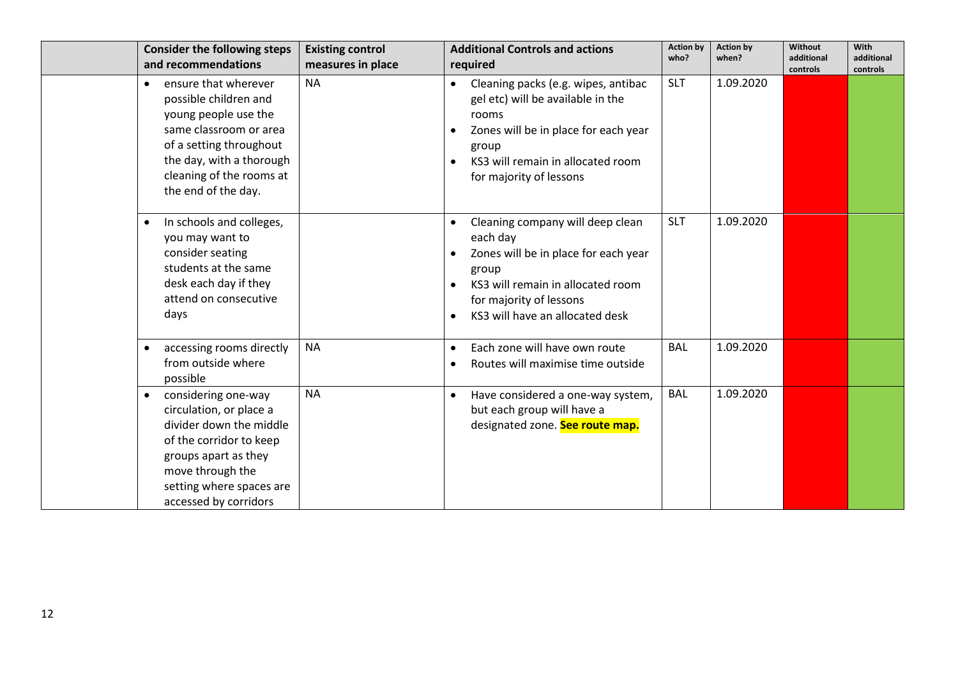| <b>Consider the following steps</b><br>and recommendations                                                                                                                                                             | <b>Existing control</b><br>measures in place | <b>Additional Controls and actions</b><br>required                                                                                                                                                                           | <b>Action by</b><br>who? | <b>Action by</b><br>when? | Without<br>additional<br>controls | With<br>additional<br>controls |
|------------------------------------------------------------------------------------------------------------------------------------------------------------------------------------------------------------------------|----------------------------------------------|------------------------------------------------------------------------------------------------------------------------------------------------------------------------------------------------------------------------------|--------------------------|---------------------------|-----------------------------------|--------------------------------|
| ensure that wherever<br>$\bullet$<br>possible children and<br>young people use the<br>same classroom or area<br>of a setting throughout<br>the day, with a thorough<br>cleaning of the rooms at<br>the end of the day. | <b>NA</b>                                    | Cleaning packs (e.g. wipes, antibac<br>gel etc) will be available in the<br>rooms<br>Zones will be in place for each year<br>$\bullet$<br>group<br>KS3 will remain in allocated room<br>$\bullet$<br>for majority of lessons | <b>SLT</b>               | 1.09.2020                 |                                   |                                |
| In schools and colleges,<br>$\bullet$<br>you may want to<br>consider seating<br>students at the same<br>desk each day if they<br>attend on consecutive<br>days                                                         |                                              | Cleaning company will deep clean<br>each day<br>Zones will be in place for each year<br>group<br>KS3 will remain in allocated room<br>for majority of lessons<br>KS3 will have an allocated desk                             | <b>SLT</b>               | 1.09.2020                 |                                   |                                |
| accessing rooms directly<br>$\bullet$<br>from outside where<br>possible                                                                                                                                                | <b>NA</b>                                    | Each zone will have own route<br>Routes will maximise time outside<br>$\bullet$                                                                                                                                              | <b>BAL</b>               | 1.09.2020                 |                                   |                                |
| considering one-way<br>$\bullet$<br>circulation, or place a<br>divider down the middle<br>of the corridor to keep<br>groups apart as they<br>move through the<br>setting where spaces are<br>accessed by corridors     | <b>NA</b>                                    | Have considered a one-way system,<br>$\bullet$<br>but each group will have a<br>designated zone. See route map.                                                                                                              | <b>BAL</b>               | 1.09.2020                 |                                   |                                |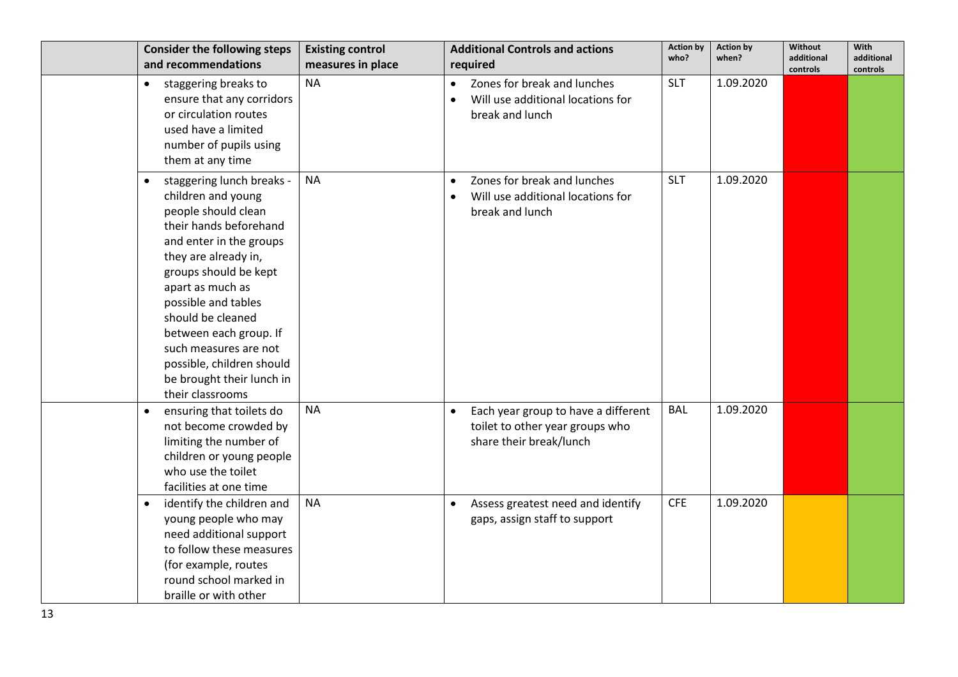| <b>Consider the following steps</b><br>and recommendations                                                                                                                                                                                                                                                                                                                                 | <b>Existing control</b><br>measures in place | <b>Additional Controls and actions</b><br>required                                                             | <b>Action by</b><br>who? | <b>Action by</b><br>when? | <b>Without</b><br>additional<br>controls | With<br>additional<br>controls |
|--------------------------------------------------------------------------------------------------------------------------------------------------------------------------------------------------------------------------------------------------------------------------------------------------------------------------------------------------------------------------------------------|----------------------------------------------|----------------------------------------------------------------------------------------------------------------|--------------------------|---------------------------|------------------------------------------|--------------------------------|
| staggering breaks to<br>$\bullet$<br>ensure that any corridors<br>or circulation routes<br>used have a limited<br>number of pupils using<br>them at any time                                                                                                                                                                                                                               | <b>NA</b>                                    | Zones for break and lunches<br>$\bullet$<br>Will use additional locations for<br>$\bullet$<br>break and lunch  | <b>SLT</b>               | 1.09.2020                 |                                          |                                |
| staggering lunch breaks -<br>$\bullet$<br>children and young<br>people should clean<br>their hands beforehand<br>and enter in the groups<br>they are already in,<br>groups should be kept<br>apart as much as<br>possible and tables<br>should be cleaned<br>between each group. If<br>such measures are not<br>possible, children should<br>be brought their lunch in<br>their classrooms | <b>NA</b>                                    | Zones for break and lunches<br>Will use additional locations for<br>break and lunch                            | <b>SLT</b>               | 1.09.2020                 |                                          |                                |
| ensuring that toilets do<br>$\bullet$<br>not become crowded by<br>limiting the number of<br>children or young people<br>who use the toilet<br>facilities at one time                                                                                                                                                                                                                       | <b>NA</b>                                    | Each year group to have a different<br>$\bullet$<br>toilet to other year groups who<br>share their break/lunch | <b>BAL</b>               | 1.09.2020                 |                                          |                                |
| identify the children and<br>$\bullet$<br>young people who may<br>need additional support<br>to follow these measures<br>(for example, routes<br>round school marked in<br>braille or with other                                                                                                                                                                                           | <b>NA</b>                                    | Assess greatest need and identify<br>gaps, assign staff to support                                             | <b>CFE</b>               | 1.09.2020                 |                                          |                                |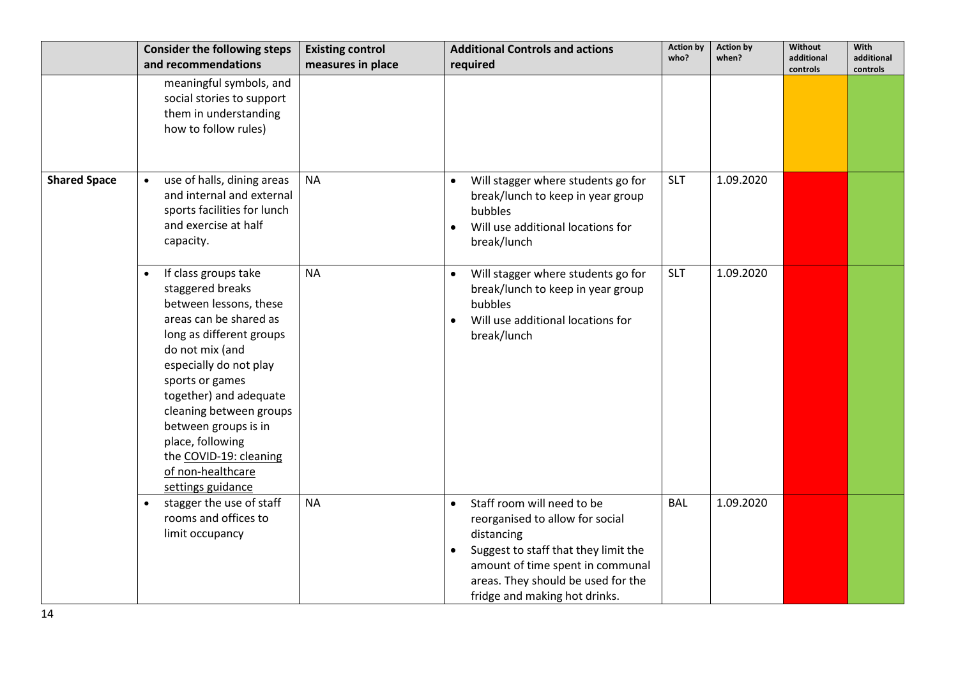|                     | <b>Consider the following steps</b>                                                                                                                                                                                                                                                                                                                           | <b>Existing control</b> | <b>Additional Controls and actions</b>                                                                                                                                                                                                      | <b>Action by</b><br>who? | <b>Action by</b><br>when? | Without<br>additional | With<br>additional |
|---------------------|---------------------------------------------------------------------------------------------------------------------------------------------------------------------------------------------------------------------------------------------------------------------------------------------------------------------------------------------------------------|-------------------------|---------------------------------------------------------------------------------------------------------------------------------------------------------------------------------------------------------------------------------------------|--------------------------|---------------------------|-----------------------|--------------------|
|                     | and recommendations                                                                                                                                                                                                                                                                                                                                           | measures in place       | required                                                                                                                                                                                                                                    |                          |                           | controls              | controls           |
|                     | meaningful symbols, and<br>social stories to support<br>them in understanding<br>how to follow rules)                                                                                                                                                                                                                                                         |                         |                                                                                                                                                                                                                                             |                          |                           |                       |                    |
| <b>Shared Space</b> | use of halls, dining areas<br>$\bullet$<br>and internal and external<br>sports facilities for lunch<br>and exercise at half<br>capacity.                                                                                                                                                                                                                      | <b>NA</b>               | Will stagger where students go for<br>$\bullet$<br>break/lunch to keep in year group<br>bubbles<br>Will use additional locations for<br>break/lunch                                                                                         | <b>SLT</b>               | 1.09.2020                 |                       |                    |
|                     | If class groups take<br>staggered breaks<br>between lessons, these<br>areas can be shared as<br>long as different groups<br>do not mix (and<br>especially do not play<br>sports or games<br>together) and adequate<br>cleaning between groups<br>between groups is in<br>place, following<br>the COVID-19: cleaning<br>of non-healthcare<br>settings guidance | <b>NA</b>               | Will stagger where students go for<br>break/lunch to keep in year group<br>bubbles<br>Will use additional locations for<br>break/lunch                                                                                                      | <b>SLT</b>               | 1.09.2020                 |                       |                    |
|                     | stagger the use of staff<br>$\bullet$<br>rooms and offices to<br>limit occupancy                                                                                                                                                                                                                                                                              | <b>NA</b>               | Staff room will need to be<br>$\bullet$<br>reorganised to allow for social<br>distancing<br>Suggest to staff that they limit the<br>amount of time spent in communal<br>areas. They should be used for the<br>fridge and making hot drinks. | <b>BAL</b>               | 1.09.2020                 |                       |                    |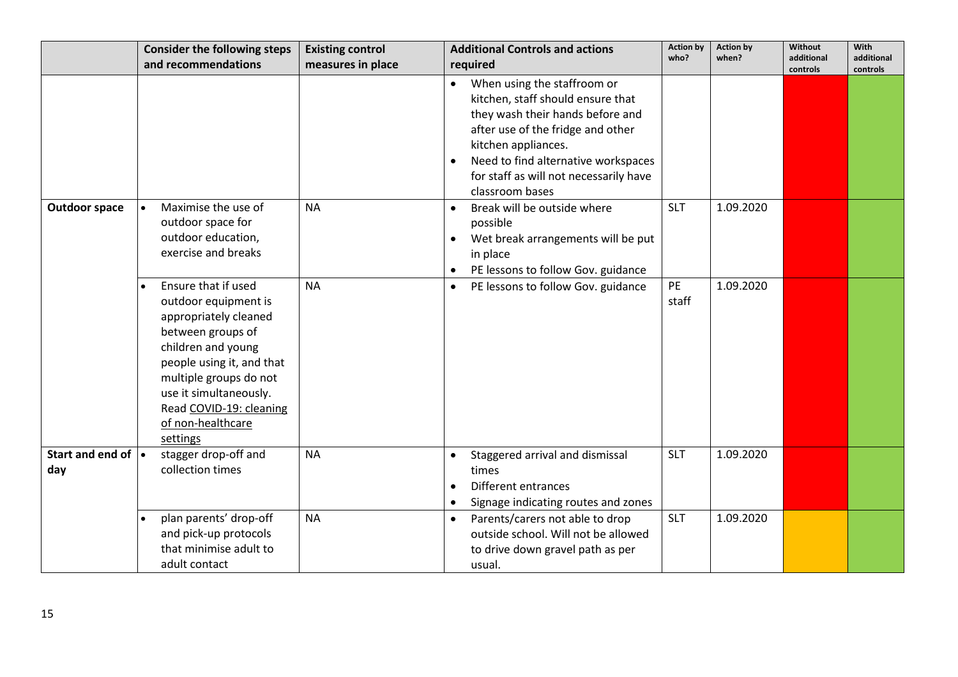|                                               | <b>Consider the following steps</b>                                                                                                                                                                                                                                       | <b>Existing control</b> | <b>Additional Controls and actions</b>                                                                                                                                                                                                                                            | <b>Action by</b>   | <b>Action by</b> | <b>Without</b>         | <b>With</b>            |
|-----------------------------------------------|---------------------------------------------------------------------------------------------------------------------------------------------------------------------------------------------------------------------------------------------------------------------------|-------------------------|-----------------------------------------------------------------------------------------------------------------------------------------------------------------------------------------------------------------------------------------------------------------------------------|--------------------|------------------|------------------------|------------------------|
|                                               | and recommendations                                                                                                                                                                                                                                                       | measures in place       | required                                                                                                                                                                                                                                                                          | who?               | when?            | additional<br>controls | additional<br>controls |
|                                               |                                                                                                                                                                                                                                                                           |                         | When using the staffroom or<br>$\bullet$<br>kitchen, staff should ensure that<br>they wash their hands before and<br>after use of the fridge and other<br>kitchen appliances.<br>Need to find alternative workspaces<br>for staff as will not necessarily have<br>classroom bases |                    |                  |                        |                        |
| <b>Outdoor space</b>                          | Maximise the use of<br>$\bullet$<br>outdoor space for<br>outdoor education,<br>exercise and breaks                                                                                                                                                                        | <b>NA</b>               | Break will be outside where<br>$\bullet$<br>possible<br>Wet break arrangements will be put<br>$\bullet$<br>in place<br>PE lessons to follow Gov. guidance<br>$\bullet$                                                                                                            | <b>SLT</b>         | 1.09.2020        |                        |                        |
|                                               | Ensure that if used<br>$\bullet$<br>outdoor equipment is<br>appropriately cleaned<br>between groups of<br>children and young<br>people using it, and that<br>multiple groups do not<br>use it simultaneously.<br>Read COVID-19: cleaning<br>of non-healthcare<br>settings | <b>NA</b>               | PE lessons to follow Gov. guidance<br>$\bullet$                                                                                                                                                                                                                                   | <b>PE</b><br>staff | 1.09.2020        |                        |                        |
| Start and end of $\vert \bullet \vert$<br>day | stagger drop-off and<br>collection times                                                                                                                                                                                                                                  | <b>NA</b>               | Staggered arrival and dismissal<br>$\bullet$<br>times<br>Different entrances<br>Signage indicating routes and zones                                                                                                                                                               | <b>SLT</b>         | 1.09.2020        |                        |                        |
|                                               | plan parents' drop-off<br>and pick-up protocols<br>that minimise adult to<br>adult contact                                                                                                                                                                                | <b>NA</b>               | Parents/carers not able to drop<br>$\bullet$<br>outside school. Will not be allowed<br>to drive down gravel path as per<br>usual.                                                                                                                                                 | <b>SLT</b>         | 1.09.2020        |                        |                        |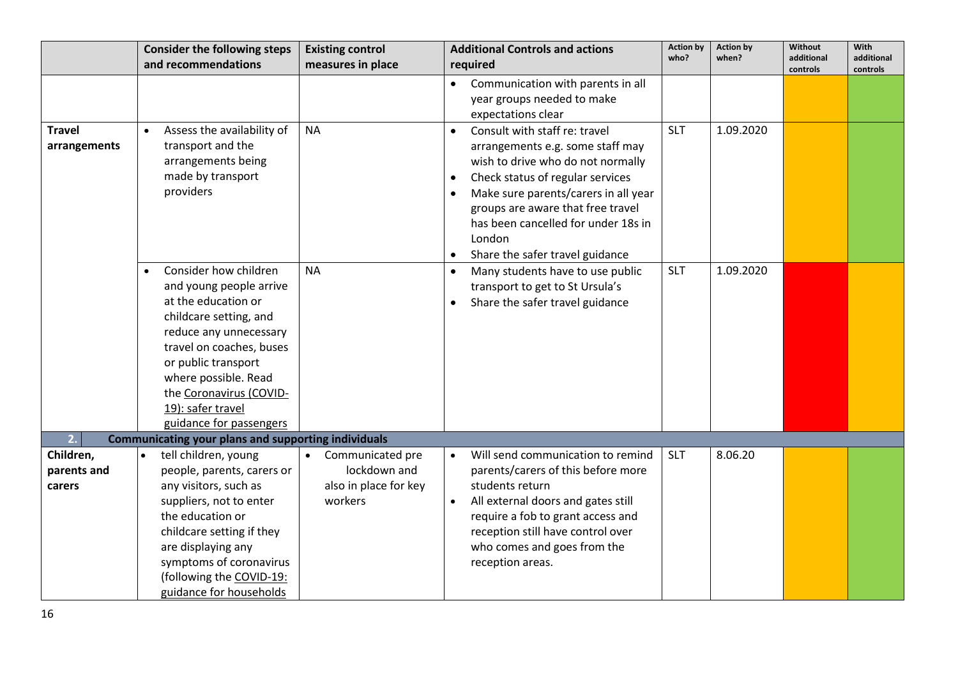|                                    | <b>Consider the following steps</b><br>and recommendations                                                                                                                                                                                                                        | <b>Existing control</b>                                                           | <b>Additional Controls and actions</b>                                                                                                                                                                                                                                                                                                             | <b>Action by</b><br>who? | <b>Action by</b><br>when? | Without<br>additional | With<br>additional |
|------------------------------------|-----------------------------------------------------------------------------------------------------------------------------------------------------------------------------------------------------------------------------------------------------------------------------------|-----------------------------------------------------------------------------------|----------------------------------------------------------------------------------------------------------------------------------------------------------------------------------------------------------------------------------------------------------------------------------------------------------------------------------------------------|--------------------------|---------------------------|-----------------------|--------------------|
|                                    |                                                                                                                                                                                                                                                                                   | measures in place                                                                 | required                                                                                                                                                                                                                                                                                                                                           |                          |                           | controls              | controls           |
|                                    |                                                                                                                                                                                                                                                                                   |                                                                                   | Communication with parents in all<br>year groups needed to make<br>expectations clear                                                                                                                                                                                                                                                              |                          |                           |                       |                    |
| <b>Travel</b><br>arrangements      | Assess the availability of<br>$\bullet$<br>transport and the<br>arrangements being<br>made by transport<br>providers                                                                                                                                                              | <b>NA</b>                                                                         | Consult with staff re: travel<br>$\bullet$<br>arrangements e.g. some staff may<br>wish to drive who do not normally<br>Check status of regular services<br>$\bullet$<br>Make sure parents/carers in all year<br>$\bullet$<br>groups are aware that free travel<br>has been cancelled for under 18s in<br>London<br>Share the safer travel guidance | <b>SLT</b>               | 1.09.2020                 |                       |                    |
|                                    | Consider how children<br>and young people arrive<br>at the education or<br>childcare setting, and<br>reduce any unnecessary<br>travel on coaches, buses<br>or public transport<br>where possible. Read<br>the Coronavirus (COVID-<br>19): safer travel<br>guidance for passengers | <b>NA</b>                                                                         | Many students have to use public<br>transport to get to St Ursula's<br>Share the safer travel guidance<br>$\bullet$                                                                                                                                                                                                                                | <b>SLT</b>               | 1.09.2020                 |                       |                    |
| 2.                                 | <b>Communicating your plans and supporting individuals</b>                                                                                                                                                                                                                        |                                                                                   |                                                                                                                                                                                                                                                                                                                                                    |                          |                           |                       |                    |
| Children,<br>parents and<br>carers | tell children, young<br>people, parents, carers or<br>any visitors, such as<br>suppliers, not to enter<br>the education or<br>childcare setting if they<br>are displaying any<br>symptoms of coronavirus<br>(following the COVID-19:<br>guidance for households                   | Communicated pre<br>$\bullet$<br>lockdown and<br>also in place for key<br>workers | Will send communication to remind<br>parents/carers of this before more<br>students return<br>All external doors and gates still<br>require a fob to grant access and<br>reception still have control over<br>who comes and goes from the<br>reception areas.                                                                                      | <b>SLT</b>               | 8.06.20                   |                       |                    |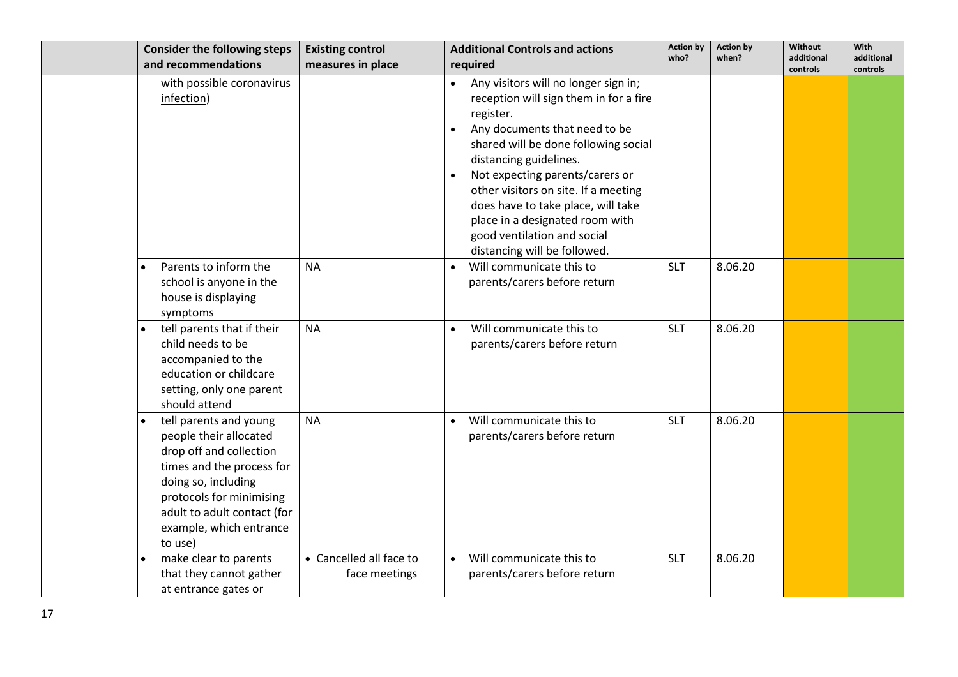|           | <b>Consider the following steps</b>                                                                                                                                                                                              | <b>Existing control</b>                  | <b>Additional Controls and actions</b>                                                                                                                                                                                                                                                                                                                                                                                           | <b>Action by</b> | <b>Action by</b> | Without                | With                   |
|-----------|----------------------------------------------------------------------------------------------------------------------------------------------------------------------------------------------------------------------------------|------------------------------------------|----------------------------------------------------------------------------------------------------------------------------------------------------------------------------------------------------------------------------------------------------------------------------------------------------------------------------------------------------------------------------------------------------------------------------------|------------------|------------------|------------------------|------------------------|
|           | and recommendations                                                                                                                                                                                                              | measures in place                        | required                                                                                                                                                                                                                                                                                                                                                                                                                         | who?             | when?            | additional<br>controls | additional<br>controls |
|           | with possible coronavirus<br>infection)                                                                                                                                                                                          |                                          | • Any visitors will no longer sign in;<br>reception will sign them in for a fire<br>register.<br>Any documents that need to be<br>shared will be done following social<br>distancing guidelines.<br>Not expecting parents/carers or<br>$\bullet$<br>other visitors on site. If a meeting<br>does have to take place, will take<br>place in a designated room with<br>good ventilation and social<br>distancing will be followed. |                  |                  |                        |                        |
| $\bullet$ | Parents to inform the<br>school is anyone in the<br>house is displaying<br>symptoms                                                                                                                                              | <b>NA</b>                                | Will communicate this to<br>$\bullet$<br>parents/carers before return                                                                                                                                                                                                                                                                                                                                                            | <b>SLT</b>       | 8.06.20          |                        |                        |
|           | tell parents that if their<br>child needs to be<br>accompanied to the<br>education or childcare<br>setting, only one parent<br>should attend                                                                                     | <b>NA</b>                                | Will communicate this to<br>$\bullet$<br>parents/carers before return                                                                                                                                                                                                                                                                                                                                                            | <b>SLT</b>       | 8.06.20          |                        |                        |
| $\bullet$ | tell parents and young<br>people their allocated<br>drop off and collection<br>times and the process for<br>doing so, including<br>protocols for minimising<br>adult to adult contact (for<br>example, which entrance<br>to use) | <b>NA</b>                                | Will communicate this to<br>parents/carers before return                                                                                                                                                                                                                                                                                                                                                                         | <b>SLT</b>       | 8.06.20          |                        |                        |
|           | make clear to parents<br>that they cannot gather<br>at entrance gates or                                                                                                                                                         | • Cancelled all face to<br>face meetings | Will communicate this to<br>$\bullet$<br>parents/carers before return                                                                                                                                                                                                                                                                                                                                                            | <b>SLT</b>       | 8.06.20          |                        |                        |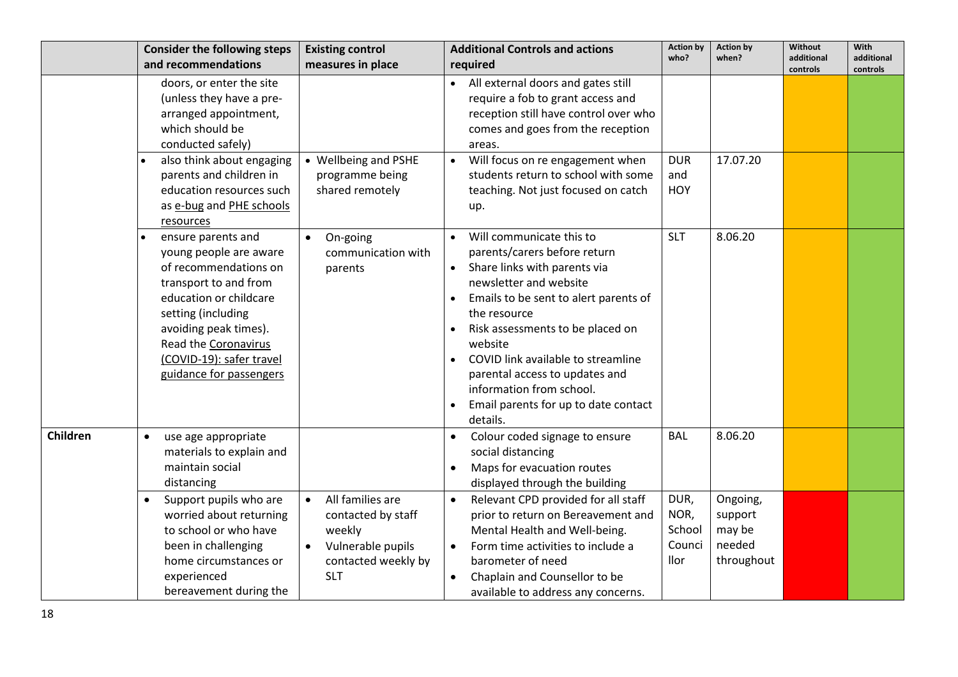|          | <b>Consider the following steps</b>                                                                                                                                                                                                                                      | <b>Existing control</b>                                                                                                 | <b>Additional Controls and actions</b>                                                                                                                                                                                                                                                                                                                   | <b>Action by</b><br>who?                 | <b>Action by</b><br>when?                             | Without<br>additional | With<br>additional |
|----------|--------------------------------------------------------------------------------------------------------------------------------------------------------------------------------------------------------------------------------------------------------------------------|-------------------------------------------------------------------------------------------------------------------------|----------------------------------------------------------------------------------------------------------------------------------------------------------------------------------------------------------------------------------------------------------------------------------------------------------------------------------------------------------|------------------------------------------|-------------------------------------------------------|-----------------------|--------------------|
|          | and recommendations                                                                                                                                                                                                                                                      | measures in place                                                                                                       | required                                                                                                                                                                                                                                                                                                                                                 |                                          |                                                       | controls              | controls           |
|          | doors, or enter the site<br>(unless they have a pre-<br>arranged appointment,<br>which should be<br>conducted safely)<br>also think about engaging<br>parents and children in<br>education resources such<br>as e-bug and PHE schools<br>resources<br>ensure parents and | • Wellbeing and PSHE<br>programme being<br>shared remotely<br>On-going<br>$\bullet$                                     | • All external doors and gates still<br>require a fob to grant access and<br>reception still have control over who<br>comes and goes from the reception<br>areas.<br>• Will focus on re engagement when<br>students return to school with some<br>teaching. Not just focused on catch<br>up.<br>Will communicate this to<br>$\bullet$                    | <b>DUR</b><br>and<br>HOY<br><b>SLT</b>   | 17.07.20<br>8.06.20                                   |                       |                    |
|          | young people are aware<br>of recommendations on<br>transport to and from<br>education or childcare<br>setting (including<br>avoiding peak times).<br>Read the Coronavirus<br>(COVID-19): safer travel<br>guidance for passengers                                         | communication with<br>parents                                                                                           | parents/carers before return<br>• Share links with parents via<br>newsletter and website<br>Emails to be sent to alert parents of<br>the resource<br>Risk assessments to be placed on<br>website<br>COVID link available to streamline<br>parental access to updates and<br>information from school.<br>Email parents for up to date contact<br>details. |                                          |                                                       |                       |                    |
| Children | use age appropriate<br>$\bullet$<br>materials to explain and<br>maintain social<br>distancing                                                                                                                                                                            |                                                                                                                         | Colour coded signage to ensure<br>social distancing<br>Maps for evacuation routes<br>displayed through the building                                                                                                                                                                                                                                      | <b>BAL</b>                               | 8.06.20                                               |                       |                    |
|          | Support pupils who are<br>$\bullet$<br>worried about returning<br>to school or who have<br>been in challenging<br>home circumstances or<br>experienced<br>bereavement during the                                                                                         | All families are<br>$\bullet$<br>contacted by staff<br>weekly<br>Vulnerable pupils<br>contacted weekly by<br><b>SLT</b> | Relevant CPD provided for all staff<br>$\bullet$<br>prior to return on Bereavement and<br>Mental Health and Well-being.<br>Form time activities to include a<br>$\bullet$<br>barometer of need<br>Chaplain and Counsellor to be<br>$\bullet$<br>available to address any concerns.                                                                       | DUR,<br>NOR,<br>School<br>Counci<br>llor | Ongoing,<br>support<br>may be<br>needed<br>throughout |                       |                    |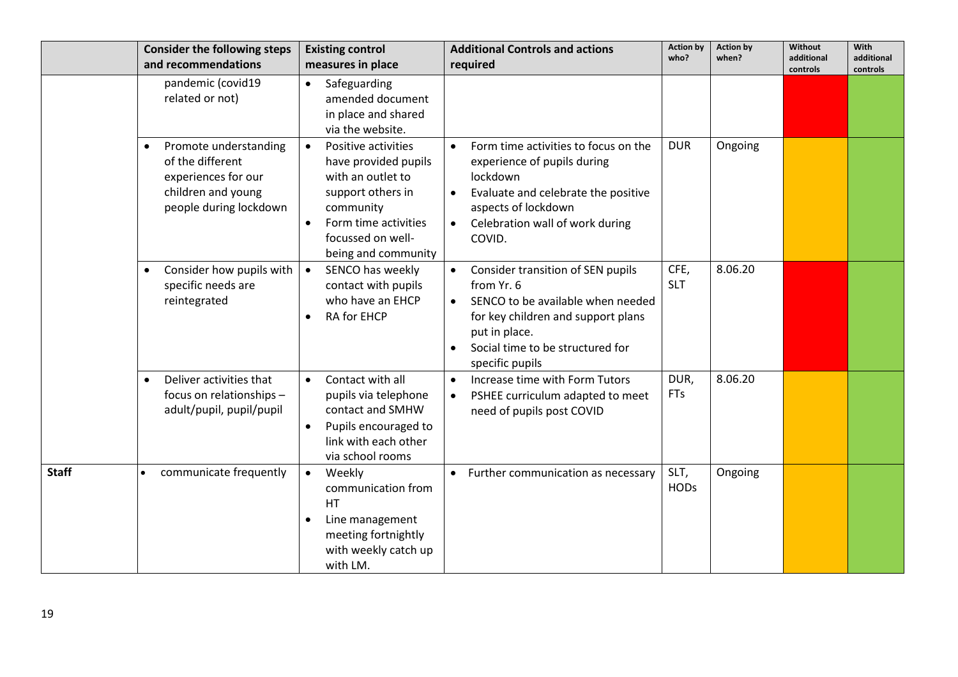|              | <b>Consider the following steps</b><br>and recommendations                                                                    | <b>Existing control</b><br>measures in place                                                                                                                                                     | <b>Additional Controls and actions</b><br>required                                                                                                                                                                           | <b>Action by</b><br>who? | <b>Action by</b><br>when? | Without<br>additional<br>controls | With<br>additional<br>controls |
|--------------|-------------------------------------------------------------------------------------------------------------------------------|--------------------------------------------------------------------------------------------------------------------------------------------------------------------------------------------------|------------------------------------------------------------------------------------------------------------------------------------------------------------------------------------------------------------------------------|--------------------------|---------------------------|-----------------------------------|--------------------------------|
|              | pandemic (covid19<br>related or not)                                                                                          | Safeguarding<br>$\bullet$<br>amended document<br>in place and shared<br>via the website.                                                                                                         |                                                                                                                                                                                                                              |                          |                           |                                   |                                |
|              | Promote understanding<br>$\bullet$<br>of the different<br>experiences for our<br>children and young<br>people during lockdown | Positive activities<br>$\bullet$<br>have provided pupils<br>with an outlet to<br>support others in<br>community<br>Form time activities<br>$\bullet$<br>focussed on well-<br>being and community | Form time activities to focus on the<br>experience of pupils during<br>lockdown<br>Evaluate and celebrate the positive<br>$\bullet$<br>aspects of lockdown<br>Celebration wall of work during<br>COVID.                      | <b>DUR</b>               | Ongoing                   |                                   |                                |
|              | Consider how pupils with<br>$\bullet$<br>specific needs are<br>reintegrated                                                   | SENCO has weekly<br>$\bullet$<br>contact with pupils<br>who have an EHCP<br>RA for EHCP                                                                                                          | Consider transition of SEN pupils<br>$\bullet$<br>from Yr. 6<br>SENCO to be available when needed<br>$\bullet$<br>for key children and support plans<br>put in place.<br>Social time to be structured for<br>specific pupils | CFE,<br><b>SLT</b>       | 8.06.20                   |                                   |                                |
|              | Deliver activities that<br>$\bullet$<br>focus on relationships -<br>adult/pupil, pupil/pupil                                  | Contact with all<br>$\bullet$<br>pupils via telephone<br>contact and SMHW<br>Pupils encouraged to<br>link with each other<br>via school rooms                                                    | Increase time with Form Tutors<br>$\bullet$<br>PSHEE curriculum adapted to meet<br>need of pupils post COVID                                                                                                                 | DUR,<br><b>FTs</b>       | 8.06.20                   |                                   |                                |
| <b>Staff</b> | communicate frequently                                                                                                        | Weekly<br>$\bullet$<br>communication from<br>HT<br>Line management<br>$\bullet$<br>meeting fortnightly<br>with weekly catch up<br>with LM.                                                       | • Further communication as necessary                                                                                                                                                                                         | SLT,<br><b>HODs</b>      | Ongoing                   |                                   |                                |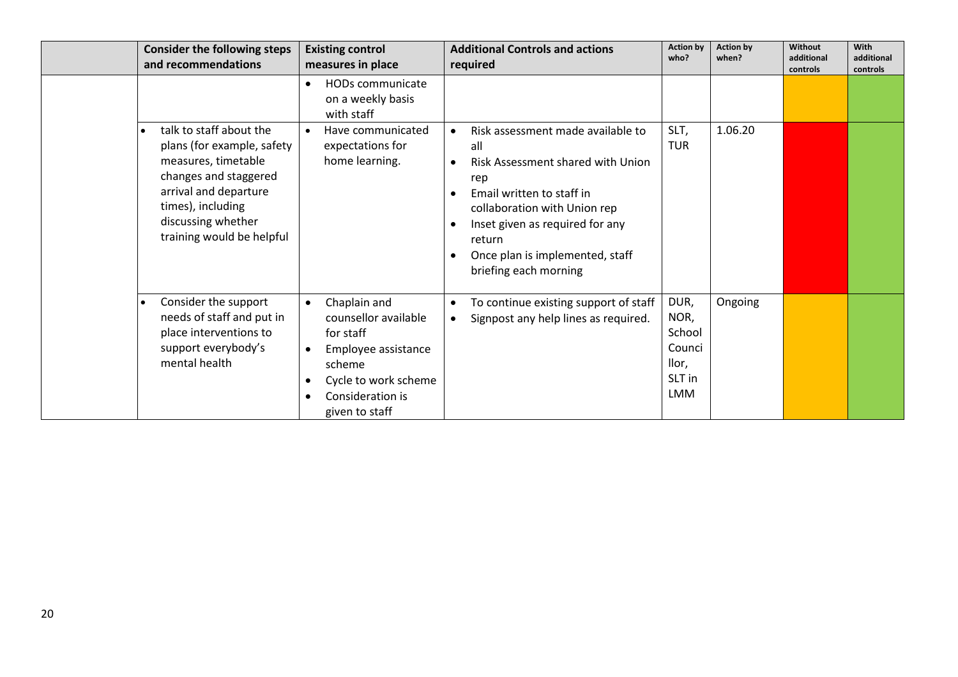| <b>Consider the following steps</b><br>and recommendations                                                                                                                                             | <b>Existing control</b><br>measures in place                                                                                                                  | <b>Additional Controls and actions</b><br>required                                                                                                                                                                                                                                                                          | <b>Action by</b><br>who?                                          | <b>Action by</b><br>when? | Without<br>additional<br>controls | With<br>additional<br>controls |
|--------------------------------------------------------------------------------------------------------------------------------------------------------------------------------------------------------|---------------------------------------------------------------------------------------------------------------------------------------------------------------|-----------------------------------------------------------------------------------------------------------------------------------------------------------------------------------------------------------------------------------------------------------------------------------------------------------------------------|-------------------------------------------------------------------|---------------------------|-----------------------------------|--------------------------------|
|                                                                                                                                                                                                        | HODs communicate<br>on a weekly basis<br>with staff                                                                                                           |                                                                                                                                                                                                                                                                                                                             |                                                                   |                           |                                   |                                |
| talk to staff about the<br>plans (for example, safety<br>measures, timetable<br>changes and staggered<br>arrival and departure<br>times), including<br>discussing whether<br>training would be helpful | Have communicated<br>expectations for<br>home learning.                                                                                                       | Risk assessment made available to<br>$\bullet$<br>all<br>Risk Assessment shared with Union<br>$\bullet$<br>rep<br>Email written to staff in<br>$\bullet$<br>collaboration with Union rep<br>Inset given as required for any<br>$\bullet$<br>return<br>Once plan is implemented, staff<br>$\bullet$<br>briefing each morning | SLT,<br><b>TUR</b>                                                | 1.06.20                   |                                   |                                |
| Consider the support<br>needs of staff and put in<br>place interventions to<br>support everybody's<br>mental health                                                                                    | Chaplain and<br>$\bullet$<br>counsellor available<br>for staff<br>Employee assistance<br>scheme<br>Cycle to work scheme<br>Consideration is<br>given to staff | To continue existing support of staff<br>$\bullet$<br>Signpost any help lines as required.<br>$\bullet$                                                                                                                                                                                                                     | DUR,<br>NOR,<br>School<br>Counci<br>llor,<br>SLT in<br><b>LMM</b> | Ongoing                   |                                   |                                |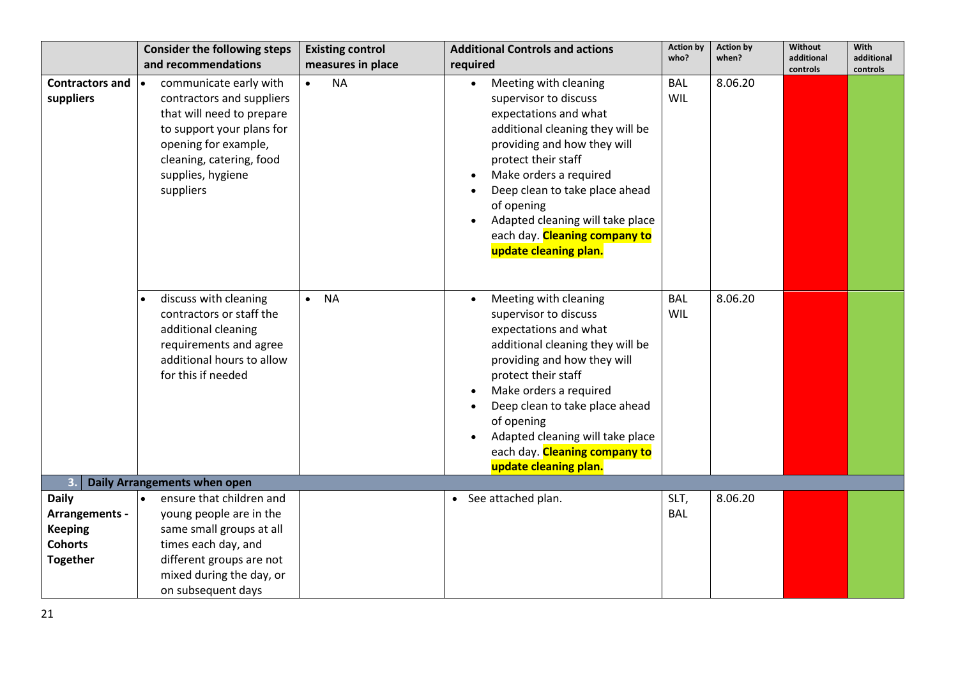|                                                                                                           | <b>Consider the following steps</b><br>and recommendations                                                                                                                             | <b>Existing control</b><br>measures in place | <b>Additional Controls and actions</b><br>required                                                                                                                                                                                                                                                                                                                                            | <b>Action by</b><br>who? | <b>Action by</b><br>when? | Without<br>additional<br>controls | With<br>additional<br>controls |
|-----------------------------------------------------------------------------------------------------------|----------------------------------------------------------------------------------------------------------------------------------------------------------------------------------------|----------------------------------------------|-----------------------------------------------------------------------------------------------------------------------------------------------------------------------------------------------------------------------------------------------------------------------------------------------------------------------------------------------------------------------------------------------|--------------------------|---------------------------|-----------------------------------|--------------------------------|
| <b>Contractors and</b><br>I۰<br>suppliers<br>suppliers                                                    | communicate early with<br>contractors and suppliers<br>that will need to prepare<br>to support your plans for<br>opening for example,<br>cleaning, catering, food<br>supplies, hygiene | <b>NA</b><br>$\bullet$                       | Meeting with cleaning<br>$\bullet$<br>supervisor to discuss<br>expectations and what<br>additional cleaning they will be<br>providing and how they will<br>protect their staff<br>Make orders a required<br>$\bullet$<br>Deep clean to take place ahead<br>$\bullet$<br>of opening<br>Adapted cleaning will take place<br>each day. Cleaning company to<br>update cleaning plan.              | <b>BAL</b><br>WIL        | 8.06.20                   |                                   |                                |
|                                                                                                           | discuss with cleaning<br>contractors or staff the<br>additional cleaning<br>requirements and agree<br>additional hours to allow<br>for this if needed                                  | <b>NA</b><br>$\bullet$                       | Meeting with cleaning<br>$\bullet$<br>supervisor to discuss<br>expectations and what<br>additional cleaning they will be<br>providing and how they will<br>protect their staff<br>Make orders a required<br>$\bullet$<br>Deep clean to take place ahead<br>$\bullet$<br>of opening<br>Adapted cleaning will take place<br>$\bullet$<br>each day. Cleaning company to<br>update cleaning plan. | <b>BAL</b><br>WIL        | 8.06.20                   |                                   |                                |
| $\overline{\mathbf{3}}$<br><b>Daily Arrangements when open</b>                                            |                                                                                                                                                                                        |                                              |                                                                                                                                                                                                                                                                                                                                                                                               |                          |                           |                                   |                                |
| <b>Daily</b><br>$\bullet$<br><b>Arrangements -</b><br><b>Keeping</b><br><b>Cohorts</b><br><b>Together</b> | ensure that children and<br>young people are in the<br>same small groups at all<br>times each day, and<br>different groups are not<br>mixed during the day, or<br>on subsequent days   |                                              | • See attached plan.                                                                                                                                                                                                                                                                                                                                                                          | SLT,<br><b>BAL</b>       | 8.06.20                   |                                   |                                |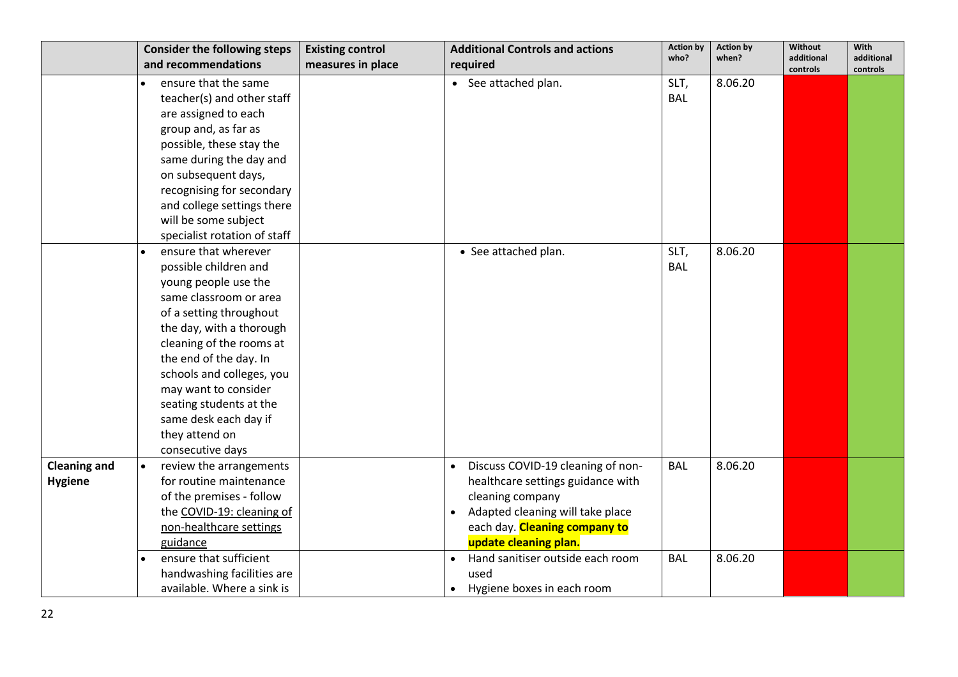|                     | <b>Consider the following steps</b> | <b>Existing control</b> | <b>Additional Controls and actions</b>         | <b>Action by</b> | <b>Action by</b> | Without                | With                   |
|---------------------|-------------------------------------|-------------------------|------------------------------------------------|------------------|------------------|------------------------|------------------------|
|                     | and recommendations                 | measures in place       | required                                       | who?             | when?            | additional<br>controls | additional<br>controls |
|                     | ensure that the same                |                         | • See attached plan.                           | SLT,             | 8.06.20          |                        |                        |
|                     | teacher(s) and other staff          |                         |                                                | <b>BAL</b>       |                  |                        |                        |
|                     | are assigned to each                |                         |                                                |                  |                  |                        |                        |
|                     | group and, as far as                |                         |                                                |                  |                  |                        |                        |
|                     | possible, these stay the            |                         |                                                |                  |                  |                        |                        |
|                     | same during the day and             |                         |                                                |                  |                  |                        |                        |
|                     | on subsequent days,                 |                         |                                                |                  |                  |                        |                        |
|                     | recognising for secondary           |                         |                                                |                  |                  |                        |                        |
|                     | and college settings there          |                         |                                                |                  |                  |                        |                        |
|                     | will be some subject                |                         |                                                |                  |                  |                        |                        |
|                     | specialist rotation of staff        |                         |                                                |                  |                  |                        |                        |
|                     | ensure that wherever                |                         | • See attached plan.                           | SLT,             | 8.06.20          |                        |                        |
|                     | possible children and               |                         |                                                | <b>BAL</b>       |                  |                        |                        |
|                     | young people use the                |                         |                                                |                  |                  |                        |                        |
|                     | same classroom or area              |                         |                                                |                  |                  |                        |                        |
|                     | of a setting throughout             |                         |                                                |                  |                  |                        |                        |
|                     | the day, with a thorough            |                         |                                                |                  |                  |                        |                        |
|                     | cleaning of the rooms at            |                         |                                                |                  |                  |                        |                        |
|                     | the end of the day. In              |                         |                                                |                  |                  |                        |                        |
|                     | schools and colleges, you           |                         |                                                |                  |                  |                        |                        |
|                     | may want to consider                |                         |                                                |                  |                  |                        |                        |
|                     | seating students at the             |                         |                                                |                  |                  |                        |                        |
|                     | same desk each day if               |                         |                                                |                  |                  |                        |                        |
|                     | they attend on                      |                         |                                                |                  |                  |                        |                        |
|                     | consecutive days                    |                         |                                                |                  |                  |                        |                        |
| <b>Cleaning and</b> | review the arrangements             |                         | Discuss COVID-19 cleaning of non-<br>$\bullet$ | <b>BAL</b>       | 8.06.20          |                        |                        |
| <b>Hygiene</b>      | for routine maintenance             |                         | healthcare settings guidance with              |                  |                  |                        |                        |
|                     | of the premises - follow            |                         | cleaning company                               |                  |                  |                        |                        |
|                     | the COVID-19: cleaning of           |                         | • Adapted cleaning will take place             |                  |                  |                        |                        |
|                     | non-healthcare settings             |                         | each day. Cleaning company to                  |                  |                  |                        |                        |
|                     | guidance                            |                         | update cleaning plan.                          |                  |                  |                        |                        |
|                     | ensure that sufficient              |                         | Hand sanitiser outside each room<br>$\bullet$  | <b>BAL</b>       | 8.06.20          |                        |                        |
|                     | handwashing facilities are          |                         | used                                           |                  |                  |                        |                        |
|                     | available. Where a sink is          |                         | Hygiene boxes in each room                     |                  |                  |                        |                        |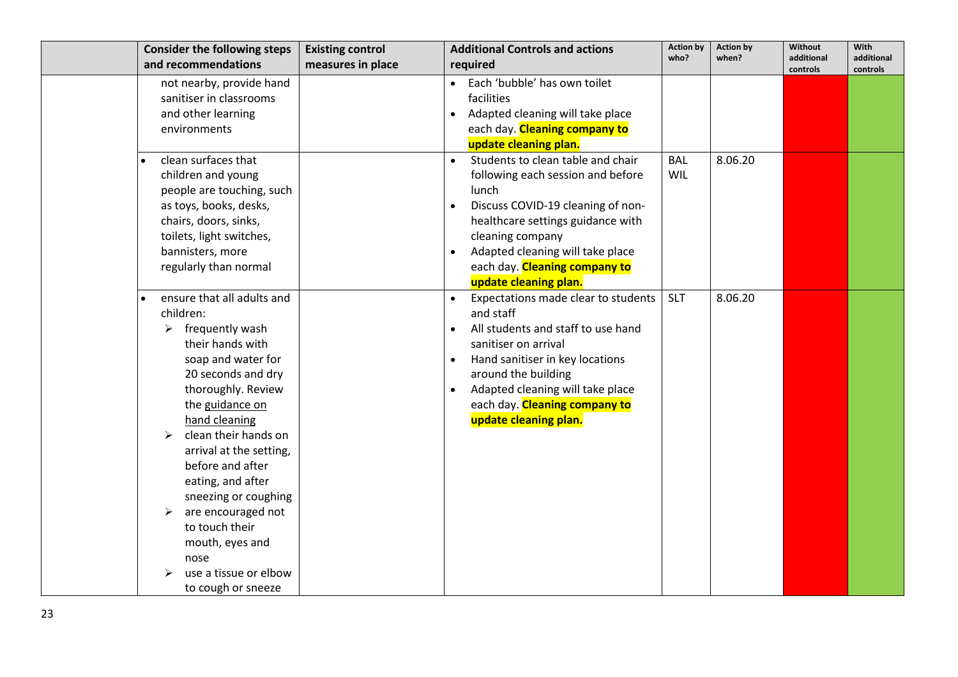| <b>Consider the following steps</b>         | <b>Existing control</b> | <b>Additional Controls and actions</b>        | <b>Action by</b> | <b>Action by</b> | Without                | With                   |
|---------------------------------------------|-------------------------|-----------------------------------------------|------------------|------------------|------------------------|------------------------|
| and recommendations                         | measures in place       | required                                      | who?             | when?            | additional<br>controls | additional<br>controls |
| not nearby, provide hand                    |                         | • Each 'bubble' has own toilet                |                  |                  |                        |                        |
| sanitiser in classrooms                     |                         | facilities                                    |                  |                  |                        |                        |
| and other learning                          |                         | Adapted cleaning will take place              |                  |                  |                        |                        |
| environments                                |                         | each day. Cleaning company to                 |                  |                  |                        |                        |
|                                             |                         | update cleaning plan.                         |                  |                  |                        |                        |
| clean surfaces that                         |                         | Students to clean table and chair             | <b>BAL</b>       | 8.06.20          |                        |                        |
| children and young                          |                         | following each session and before             | WIL              |                  |                        |                        |
| people are touching, such                   |                         | lunch                                         |                  |                  |                        |                        |
| as toys, books, desks,                      |                         | Discuss COVID-19 cleaning of non-             |                  |                  |                        |                        |
| chairs, doors, sinks,                       |                         | healthcare settings guidance with             |                  |                  |                        |                        |
| toilets, light switches,                    |                         | cleaning company                              |                  |                  |                        |                        |
| bannisters, more                            |                         | Adapted cleaning will take place<br>$\bullet$ |                  |                  |                        |                        |
| regularly than normal                       |                         | each day. Cleaning company to                 |                  |                  |                        |                        |
|                                             |                         | update cleaning plan.                         |                  |                  |                        |                        |
| ensure that all adults and                  |                         | Expectations made clear to students           | <b>SLT</b>       | 8.06.20          |                        |                        |
| children:                                   |                         | and staff                                     |                  |                  |                        |                        |
| $\triangleright$ frequently wash            |                         | All students and staff to use hand            |                  |                  |                        |                        |
| their hands with                            |                         | sanitiser on arrival                          |                  |                  |                        |                        |
| soap and water for                          |                         | Hand sanitiser in key locations               |                  |                  |                        |                        |
| 20 seconds and dry                          |                         | around the building                           |                  |                  |                        |                        |
| thoroughly. Review                          |                         | Adapted cleaning will take place              |                  |                  |                        |                        |
| the guidance on                             |                         | each day. Cleaning company to                 |                  |                  |                        |                        |
| hand cleaning                               |                         | update cleaning plan.                         |                  |                  |                        |                        |
| clean their hands on<br>➤                   |                         |                                               |                  |                  |                        |                        |
| arrival at the setting,<br>before and after |                         |                                               |                  |                  |                        |                        |
| eating, and after                           |                         |                                               |                  |                  |                        |                        |
| sneezing or coughing                        |                         |                                               |                  |                  |                        |                        |
| are encouraged not<br>➤                     |                         |                                               |                  |                  |                        |                        |
| to touch their                              |                         |                                               |                  |                  |                        |                        |
| mouth, eyes and                             |                         |                                               |                  |                  |                        |                        |
| nose                                        |                         |                                               |                  |                  |                        |                        |
| use a tissue or elbow                       |                         |                                               |                  |                  |                        |                        |
| to cough or sneeze                          |                         |                                               |                  |                  |                        |                        |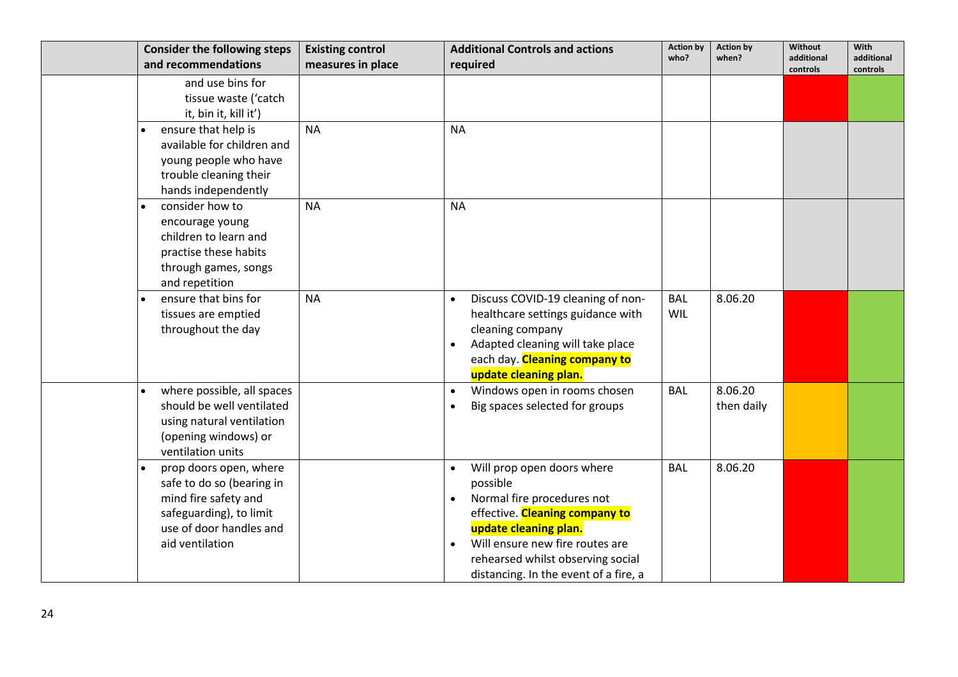| <b>Consider the following steps</b><br>and recommendations                                                                                           | <b>Existing control</b><br>measures in place | <b>Additional Controls and actions</b><br>required                                                                                                                                                                                                            | <b>Action by</b><br>who? | <b>Action by</b><br>when? | Without<br>additional<br>controls | <b>With</b><br>additional<br>controls |
|------------------------------------------------------------------------------------------------------------------------------------------------------|----------------------------------------------|---------------------------------------------------------------------------------------------------------------------------------------------------------------------------------------------------------------------------------------------------------------|--------------------------|---------------------------|-----------------------------------|---------------------------------------|
| and use bins for<br>tissue waste ('catch<br>it, bin it, kill it')                                                                                    |                                              |                                                                                                                                                                                                                                                               |                          |                           |                                   |                                       |
| ensure that help is<br>available for children and<br>young people who have<br>trouble cleaning their<br>hands independently                          | <b>NA</b>                                    | <b>NA</b>                                                                                                                                                                                                                                                     |                          |                           |                                   |                                       |
| consider how to<br>encourage young<br>children to learn and<br>practise these habits<br>through games, songs<br>and repetition                       | <b>NA</b>                                    | <b>NA</b>                                                                                                                                                                                                                                                     |                          |                           |                                   |                                       |
| ensure that bins for<br>tissues are emptied<br>throughout the day                                                                                    | <b>NA</b>                                    | Discuss COVID-19 cleaning of non-<br>$\bullet$<br>healthcare settings guidance with<br>cleaning company<br>Adapted cleaning will take place<br>each day. Cleaning company to<br>update cleaning plan.                                                         | <b>BAL</b><br><b>WIL</b> | 8.06.20                   |                                   |                                       |
| where possible, all spaces<br>should be well ventilated<br>using natural ventilation<br>(opening windows) or<br>ventilation units                    |                                              | Windows open in rooms chosen<br>$\bullet$<br>Big spaces selected for groups                                                                                                                                                                                   | <b>BAL</b>               | 8.06.20<br>then daily     |                                   |                                       |
| prop doors open, where<br>safe to do so (bearing in<br>mind fire safety and<br>safeguarding), to limit<br>use of door handles and<br>aid ventilation |                                              | Will prop open doors where<br>possible<br>Normal fire procedures not<br>effective. Cleaning company to<br>update cleaning plan.<br>Will ensure new fire routes are<br>$\bullet$<br>rehearsed whilst observing social<br>distancing. In the event of a fire, a | <b>BAL</b>               | 8.06.20                   |                                   |                                       |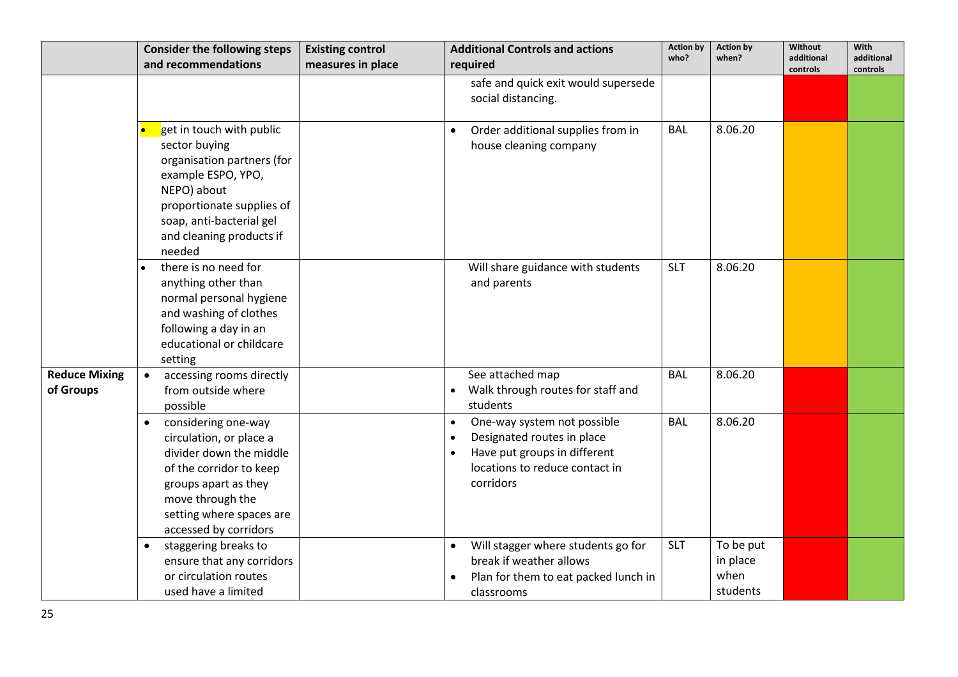|                                   | <b>Consider the following steps</b><br>and recommendations                                                                                                                                                         | <b>Existing control</b><br>measures in place | <b>Additional Controls and actions</b><br>required                                                                                                    | <b>Action by</b><br>who? | <b>Action by</b><br>when?                 | Without<br>additional<br>controls | With<br>additional<br>controls |
|-----------------------------------|--------------------------------------------------------------------------------------------------------------------------------------------------------------------------------------------------------------------|----------------------------------------------|-------------------------------------------------------------------------------------------------------------------------------------------------------|--------------------------|-------------------------------------------|-----------------------------------|--------------------------------|
|                                   |                                                                                                                                                                                                                    |                                              | safe and quick exit would supersede<br>social distancing.                                                                                             |                          |                                           |                                   |                                |
|                                   | get in touch with public<br>sector buying<br>organisation partners (for<br>example ESPO, YPO,<br>NEPO) about<br>proportionate supplies of<br>soap, anti-bacterial gel<br>and cleaning products if<br>needed        |                                              | Order additional supplies from in<br>house cleaning company                                                                                           | <b>BAL</b>               | 8.06.20                                   |                                   |                                |
|                                   | there is no need for<br>anything other than<br>normal personal hygiene<br>and washing of clothes<br>following a day in an<br>educational or childcare<br>setting                                                   |                                              | Will share guidance with students<br>and parents                                                                                                      | <b>SLT</b>               | 8.06.20                                   |                                   |                                |
| <b>Reduce Mixing</b><br>of Groups | accessing rooms directly<br>$\bullet$<br>from outside where<br>possible                                                                                                                                            |                                              | See attached map<br>Walk through routes for staff and<br>students                                                                                     | <b>BAL</b>               | 8.06.20                                   |                                   |                                |
|                                   | considering one-way<br>$\bullet$<br>circulation, or place a<br>divider down the middle<br>of the corridor to keep<br>groups apart as they<br>move through the<br>setting where spaces are<br>accessed by corridors |                                              | One-way system not possible<br>$\bullet$<br>Designated routes in place<br>Have put groups in different<br>locations to reduce contact in<br>corridors | <b>BAL</b>               | 8.06.20                                   |                                   |                                |
|                                   | staggering breaks to<br>$\bullet$<br>ensure that any corridors<br>or circulation routes<br>used have a limited                                                                                                     |                                              | Will stagger where students go for<br>$\bullet$<br>break if weather allows<br>Plan for them to eat packed lunch in<br>classrooms                      | <b>SLT</b>               | To be put<br>in place<br>when<br>students |                                   |                                |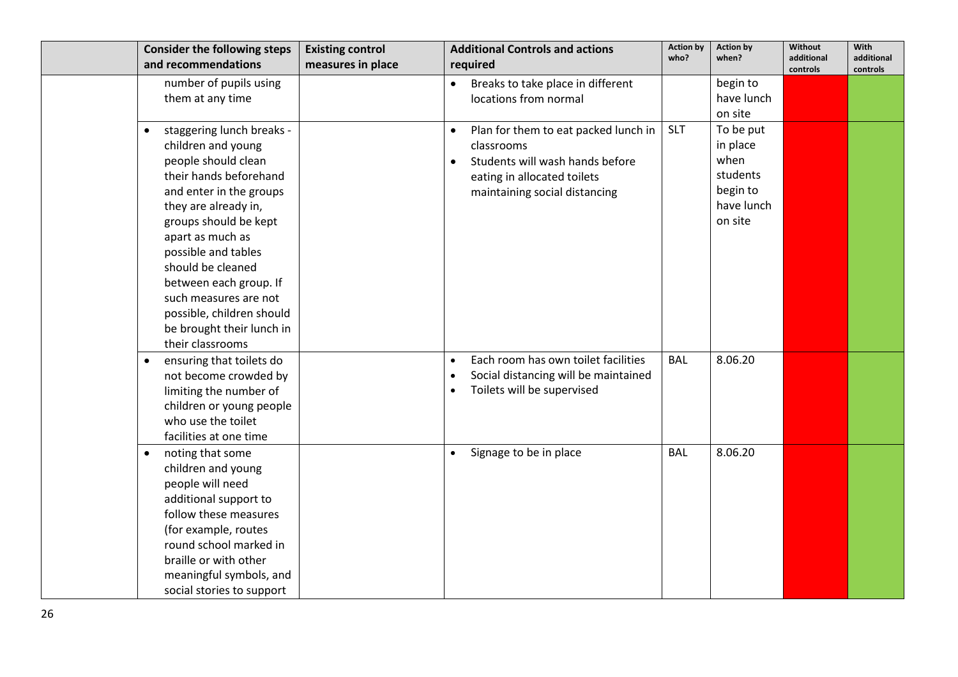| <b>Consider the following steps</b>    | <b>Existing control</b> | <b>Additional Controls and actions</b>            | <b>Action by</b><br>who? | <b>Action by</b><br>when? | Without<br>additional | With<br>additional |
|----------------------------------------|-------------------------|---------------------------------------------------|--------------------------|---------------------------|-----------------------|--------------------|
| and recommendations                    | measures in place       | required                                          |                          |                           | controls              | controls           |
| number of pupils using                 |                         | Breaks to take place in different<br>$\bullet$    |                          | begin to                  |                       |                    |
| them at any time                       |                         | locations from normal                             |                          | have lunch                |                       |                    |
|                                        |                         |                                                   |                          | on site                   |                       |                    |
| staggering lunch breaks -<br>$\bullet$ |                         | Plan for them to eat packed lunch in              | <b>SLT</b>               | To be put                 |                       |                    |
| children and young                     |                         | classrooms                                        |                          | in place                  |                       |                    |
| people should clean                    |                         | Students will wash hands before<br>$\bullet$      |                          | when                      |                       |                    |
| their hands beforehand                 |                         | eating in allocated toilets                       |                          | students                  |                       |                    |
| and enter in the groups                |                         | maintaining social distancing                     |                          | begin to                  |                       |                    |
| they are already in,                   |                         |                                                   |                          | have lunch                |                       |                    |
| groups should be kept                  |                         |                                                   |                          | on site                   |                       |                    |
| apart as much as                       |                         |                                                   |                          |                           |                       |                    |
| possible and tables                    |                         |                                                   |                          |                           |                       |                    |
| should be cleaned                      |                         |                                                   |                          |                           |                       |                    |
| between each group. If                 |                         |                                                   |                          |                           |                       |                    |
| such measures are not                  |                         |                                                   |                          |                           |                       |                    |
| possible, children should              |                         |                                                   |                          |                           |                       |                    |
| be brought their lunch in              |                         |                                                   |                          |                           |                       |                    |
| their classrooms                       |                         |                                                   |                          |                           |                       |                    |
| ensuring that toilets do<br>$\bullet$  |                         | Each room has own toilet facilities               | <b>BAL</b>               | 8.06.20                   |                       |                    |
| not become crowded by                  |                         | Social distancing will be maintained<br>$\bullet$ |                          |                           |                       |                    |
| limiting the number of                 |                         | Toilets will be supervised<br>$\bullet$           |                          |                           |                       |                    |
| children or young people               |                         |                                                   |                          |                           |                       |                    |
| who use the toilet                     |                         |                                                   |                          |                           |                       |                    |
| facilities at one time                 |                         |                                                   |                          |                           |                       |                    |
| noting that some<br>$\bullet$          |                         | Signage to be in place<br>$\bullet$               | <b>BAL</b>               | 8.06.20                   |                       |                    |
| children and young                     |                         |                                                   |                          |                           |                       |                    |
| people will need                       |                         |                                                   |                          |                           |                       |                    |
| additional support to                  |                         |                                                   |                          |                           |                       |                    |
| follow these measures                  |                         |                                                   |                          |                           |                       |                    |
| (for example, routes                   |                         |                                                   |                          |                           |                       |                    |
| round school marked in                 |                         |                                                   |                          |                           |                       |                    |
| braille or with other                  |                         |                                                   |                          |                           |                       |                    |
| meaningful symbols, and                |                         |                                                   |                          |                           |                       |                    |
| social stories to support              |                         |                                                   |                          |                           |                       |                    |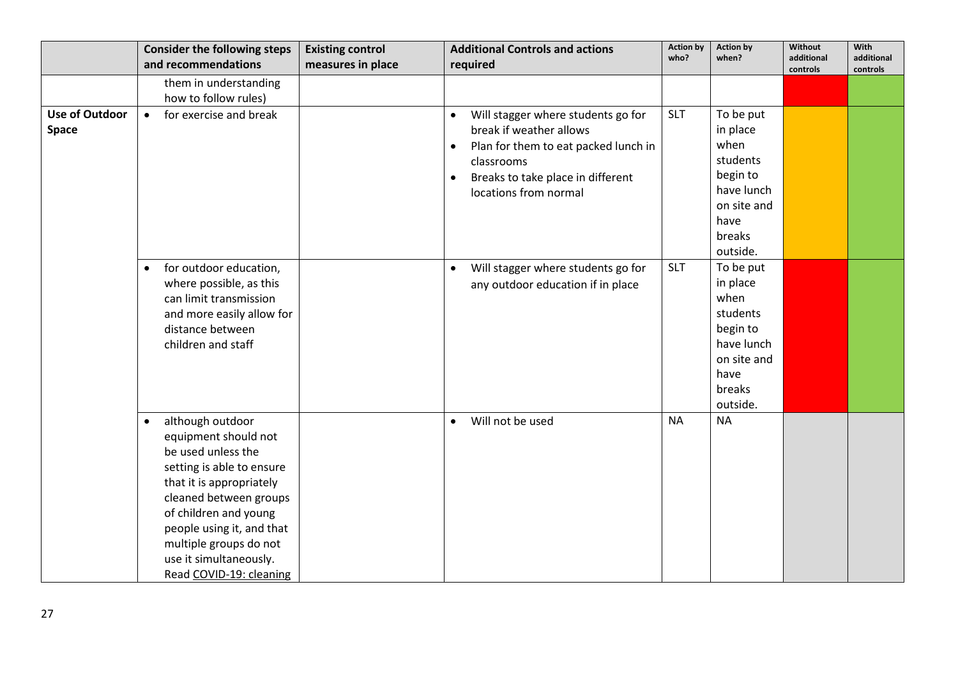|                                       | <b>Consider the following steps</b>                                                                                                                                                                                                                                                                 | <b>Existing control</b> | <b>Additional Controls and actions</b>                                                                                                                                                                      | <b>Action by</b><br>who? | <b>Action by</b><br>when?                                                                                        | Without<br>additional | With<br>additional |
|---------------------------------------|-----------------------------------------------------------------------------------------------------------------------------------------------------------------------------------------------------------------------------------------------------------------------------------------------------|-------------------------|-------------------------------------------------------------------------------------------------------------------------------------------------------------------------------------------------------------|--------------------------|------------------------------------------------------------------------------------------------------------------|-----------------------|--------------------|
|                                       | and recommendations                                                                                                                                                                                                                                                                                 | measures in place       | required                                                                                                                                                                                                    |                          |                                                                                                                  | controls              | controls           |
|                                       | them in understanding                                                                                                                                                                                                                                                                               |                         |                                                                                                                                                                                                             |                          |                                                                                                                  |                       |                    |
|                                       | how to follow rules)                                                                                                                                                                                                                                                                                |                         |                                                                                                                                                                                                             |                          |                                                                                                                  |                       |                    |
| <b>Use of Outdoor</b><br><b>Space</b> | for exercise and break<br>$\bullet$                                                                                                                                                                                                                                                                 |                         | Will stagger where students go for<br>$\bullet$<br>break if weather allows<br>Plan for them to eat packed lunch in<br>$\bullet$<br>classrooms<br>Breaks to take place in different<br>locations from normal | <b>SLT</b>               | To be put<br>in place<br>when<br>students<br>begin to<br>have lunch<br>on site and<br>have<br>breaks             |                       |                    |
|                                       |                                                                                                                                                                                                                                                                                                     |                         |                                                                                                                                                                                                             |                          | outside.                                                                                                         |                       |                    |
|                                       | for outdoor education,<br>$\bullet$<br>where possible, as this<br>can limit transmission<br>and more easily allow for<br>distance between<br>children and staff                                                                                                                                     |                         | Will stagger where students go for<br>$\bullet$<br>any outdoor education if in place                                                                                                                        | <b>SLT</b>               | To be put<br>in place<br>when<br>students<br>begin to<br>have lunch<br>on site and<br>have<br>breaks<br>outside. |                       |                    |
|                                       | although outdoor<br>$\bullet$<br>equipment should not<br>be used unless the<br>setting is able to ensure<br>that it is appropriately<br>cleaned between groups<br>of children and young<br>people using it, and that<br>multiple groups do not<br>use it simultaneously.<br>Read COVID-19: cleaning |                         | Will not be used<br>$\bullet$                                                                                                                                                                               | <b>NA</b>                | <b>NA</b>                                                                                                        |                       |                    |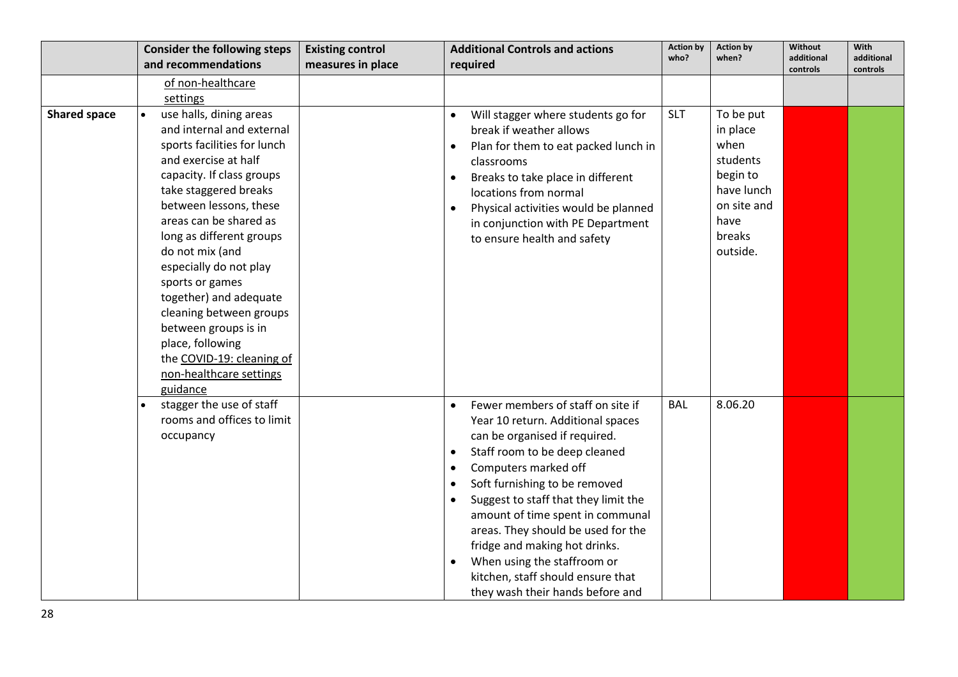|                     | <b>Consider the following steps</b>                                                                                                                                                                                                                                                                                                                                                                                                                                                    | <b>Existing control</b> | <b>Additional Controls and actions</b>                                                                                                                                                                                                                                                                                                                                                                                                                                                                                        | <b>Action by</b> | <b>Action by</b>                                                                                                 | <b>Without</b>         | With                   |
|---------------------|----------------------------------------------------------------------------------------------------------------------------------------------------------------------------------------------------------------------------------------------------------------------------------------------------------------------------------------------------------------------------------------------------------------------------------------------------------------------------------------|-------------------------|-------------------------------------------------------------------------------------------------------------------------------------------------------------------------------------------------------------------------------------------------------------------------------------------------------------------------------------------------------------------------------------------------------------------------------------------------------------------------------------------------------------------------------|------------------|------------------------------------------------------------------------------------------------------------------|------------------------|------------------------|
|                     | and recommendations                                                                                                                                                                                                                                                                                                                                                                                                                                                                    | measures in place       | required                                                                                                                                                                                                                                                                                                                                                                                                                                                                                                                      | who?             | when?                                                                                                            | additional<br>controls | additional<br>controls |
|                     | of non-healthcare                                                                                                                                                                                                                                                                                                                                                                                                                                                                      |                         |                                                                                                                                                                                                                                                                                                                                                                                                                                                                                                                               |                  |                                                                                                                  |                        |                        |
|                     | settings                                                                                                                                                                                                                                                                                                                                                                                                                                                                               |                         |                                                                                                                                                                                                                                                                                                                                                                                                                                                                                                                               |                  |                                                                                                                  |                        |                        |
| <b>Shared space</b> | use halls, dining areas<br>and internal and external<br>sports facilities for lunch<br>and exercise at half<br>capacity. If class groups<br>take staggered breaks<br>between lessons, these<br>areas can be shared as<br>long as different groups<br>do not mix (and<br>especially do not play<br>sports or games<br>together) and adequate<br>cleaning between groups<br>between groups is in<br>place, following<br>the COVID-19: cleaning of<br>non-healthcare settings<br>guidance |                         | Will stagger where students go for<br>break if weather allows<br>Plan for them to eat packed lunch in<br>$\bullet$<br>classrooms<br>Breaks to take place in different<br>$\bullet$<br>locations from normal<br>Physical activities would be planned<br>$\bullet$<br>in conjunction with PE Department<br>to ensure health and safety                                                                                                                                                                                          | <b>SLT</b>       | To be put<br>in place<br>when<br>students<br>begin to<br>have lunch<br>on site and<br>have<br>breaks<br>outside. |                        |                        |
|                     | stagger the use of staff<br>rooms and offices to limit<br>occupancy                                                                                                                                                                                                                                                                                                                                                                                                                    |                         | Fewer members of staff on site if<br>Year 10 return. Additional spaces<br>can be organised if required.<br>Staff room to be deep cleaned<br>$\bullet$<br>Computers marked off<br>$\bullet$<br>Soft furnishing to be removed<br>$\bullet$<br>Suggest to staff that they limit the<br>$\bullet$<br>amount of time spent in communal<br>areas. They should be used for the<br>fridge and making hot drinks.<br>When using the staffroom or<br>$\bullet$<br>kitchen, staff should ensure that<br>they wash their hands before and | <b>BAL</b>       | 8.06.20                                                                                                          |                        |                        |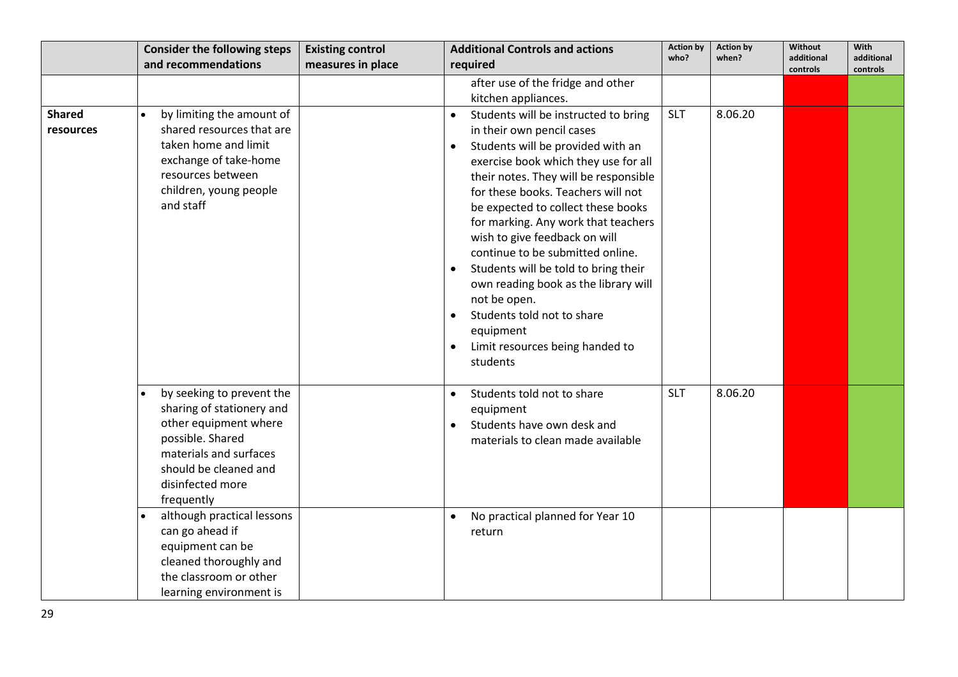|                            | <b>Consider the following steps</b>                                                                                                                                                      | <b>Existing control</b> | <b>Additional Controls and actions</b>                                                                                                                                                                                                                                                                                                                | <b>Action by</b> | <b>Action by</b> | <b>Without</b>         | With                   |
|----------------------------|------------------------------------------------------------------------------------------------------------------------------------------------------------------------------------------|-------------------------|-------------------------------------------------------------------------------------------------------------------------------------------------------------------------------------------------------------------------------------------------------------------------------------------------------------------------------------------------------|------------------|------------------|------------------------|------------------------|
|                            | and recommendations                                                                                                                                                                      | measures in place       | required                                                                                                                                                                                                                                                                                                                                              | who?             | when?            | additional<br>controls | additional<br>controls |
| <b>Shared</b><br>resources | by limiting the amount of<br>shared resources that are<br>taken home and limit<br>exchange of take-home<br>resources between<br>children, young people<br>and staff                      |                         | after use of the fridge and other<br>kitchen appliances.<br>Students will be instructed to bring<br>in their own pencil cases<br>Students will be provided with an<br>$\bullet$<br>exercise book which they use for all<br>their notes. They will be responsible<br>for these books. Teachers will not                                                | <b>SLT</b>       | 8.06.20          |                        |                        |
|                            |                                                                                                                                                                                          |                         | be expected to collect these books<br>for marking. Any work that teachers<br>wish to give feedback on will<br>continue to be submitted online.<br>Students will be told to bring their<br>own reading book as the library will<br>not be open.<br>Students told not to share<br>equipment<br>Limit resources being handed to<br>$\bullet$<br>students |                  |                  |                        |                        |
|                            | by seeking to prevent the<br>sharing of stationery and<br>other equipment where<br>possible. Shared<br>materials and surfaces<br>should be cleaned and<br>disinfected more<br>frequently |                         | Students told not to share<br>$\bullet$<br>equipment<br>Students have own desk and<br>$\bullet$<br>materials to clean made available                                                                                                                                                                                                                  | <b>SLT</b>       | 8.06.20          |                        |                        |
|                            | although practical lessons<br>can go ahead if<br>equipment can be<br>cleaned thoroughly and<br>the classroom or other<br>learning environment is                                         |                         | No practical planned for Year 10<br>return                                                                                                                                                                                                                                                                                                            |                  |                  |                        |                        |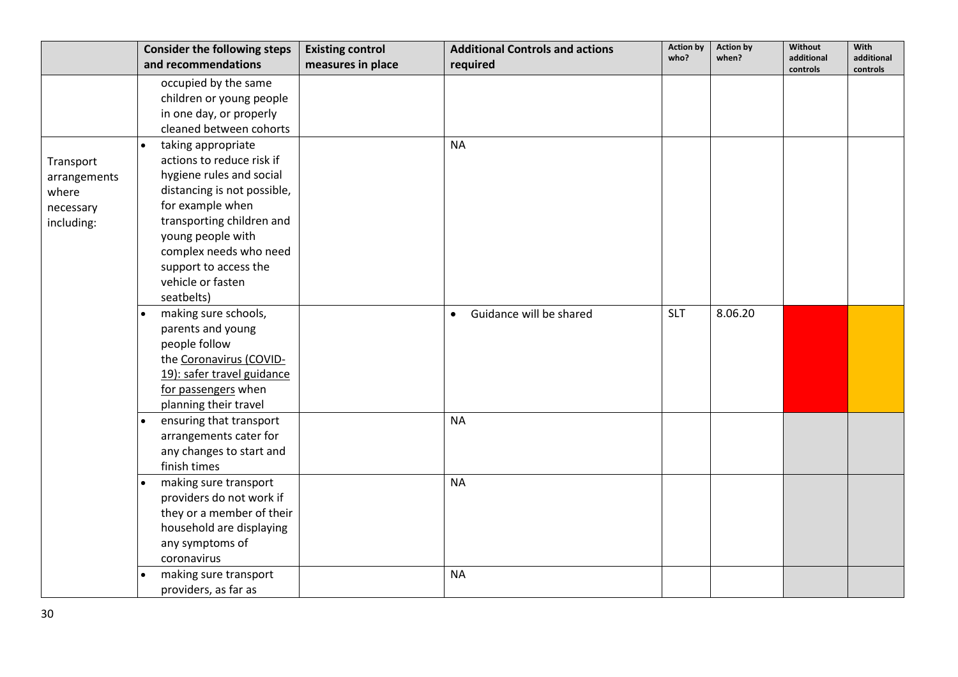|              | <b>Consider the following steps</b> | <b>Existing control</b> | <b>Additional Controls and actions</b> | <b>Action by</b> | <b>Action by</b> | <b>Without</b>         | With                   |
|--------------|-------------------------------------|-------------------------|----------------------------------------|------------------|------------------|------------------------|------------------------|
|              | and recommendations                 | measures in place       | required                               | who?             | when?            | additional<br>controls | additional<br>controls |
|              | occupied by the same                |                         |                                        |                  |                  |                        |                        |
|              | children or young people            |                         |                                        |                  |                  |                        |                        |
|              | in one day, or properly             |                         |                                        |                  |                  |                        |                        |
|              | cleaned between cohorts             |                         |                                        |                  |                  |                        |                        |
|              | taking appropriate                  |                         | <b>NA</b>                              |                  |                  |                        |                        |
| Transport    | actions to reduce risk if           |                         |                                        |                  |                  |                        |                        |
| arrangements | hygiene rules and social            |                         |                                        |                  |                  |                        |                        |
| where        | distancing is not possible,         |                         |                                        |                  |                  |                        |                        |
| necessary    | for example when                    |                         |                                        |                  |                  |                        |                        |
| including:   | transporting children and           |                         |                                        |                  |                  |                        |                        |
|              | young people with                   |                         |                                        |                  |                  |                        |                        |
|              | complex needs who need              |                         |                                        |                  |                  |                        |                        |
|              | support to access the               |                         |                                        |                  |                  |                        |                        |
|              | vehicle or fasten                   |                         |                                        |                  |                  |                        |                        |
|              | seatbelts)                          |                         |                                        |                  |                  |                        |                        |
|              | making sure schools,                |                         | Guidance will be shared<br>$\bullet$   | <b>SLT</b>       | 8.06.20          |                        |                        |
|              | parents and young                   |                         |                                        |                  |                  |                        |                        |
|              | people follow                       |                         |                                        |                  |                  |                        |                        |
|              | the Coronavirus (COVID-             |                         |                                        |                  |                  |                        |                        |
|              | 19): safer travel guidance          |                         |                                        |                  |                  |                        |                        |
|              | for passengers when                 |                         |                                        |                  |                  |                        |                        |
|              | planning their travel               |                         |                                        |                  |                  |                        |                        |
|              | ensuring that transport             |                         | <b>NA</b>                              |                  |                  |                        |                        |
|              | arrangements cater for              |                         |                                        |                  |                  |                        |                        |
|              | any changes to start and            |                         |                                        |                  |                  |                        |                        |
|              | finish times                        |                         |                                        |                  |                  |                        |                        |
|              | making sure transport               |                         | <b>NA</b>                              |                  |                  |                        |                        |
|              | providers do not work if            |                         |                                        |                  |                  |                        |                        |
|              | they or a member of their           |                         |                                        |                  |                  |                        |                        |
|              | household are displaying            |                         |                                        |                  |                  |                        |                        |
|              | any symptoms of                     |                         |                                        |                  |                  |                        |                        |
|              | coronavirus                         |                         |                                        |                  |                  |                        |                        |
|              | making sure transport               |                         | <b>NA</b>                              |                  |                  |                        |                        |
|              | providers, as far as                |                         |                                        |                  |                  |                        |                        |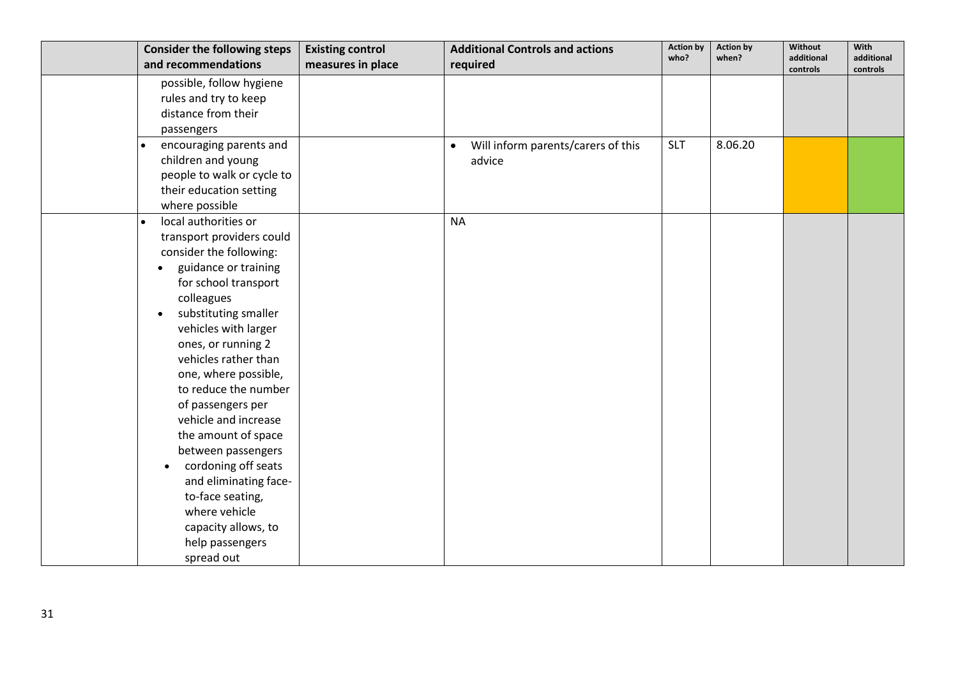| <b>Consider the following steps</b><br>and recommendations | <b>Existing control</b><br>measures in place | <b>Additional Controls and actions</b><br>required | <b>Action by</b><br>who? | <b>Action by</b><br>when? | Without<br>additional | With<br>additional |
|------------------------------------------------------------|----------------------------------------------|----------------------------------------------------|--------------------------|---------------------------|-----------------------|--------------------|
|                                                            |                                              |                                                    |                          |                           | controls              | controls           |
| possible, follow hygiene                                   |                                              |                                                    |                          |                           |                       |                    |
| rules and try to keep                                      |                                              |                                                    |                          |                           |                       |                    |
| distance from their                                        |                                              |                                                    |                          |                           |                       |                    |
| passengers                                                 |                                              |                                                    |                          |                           |                       |                    |
| encouraging parents and                                    |                                              | Will inform parents/carers of this<br>$\bullet$    | <b>SLT</b>               | 8.06.20                   |                       |                    |
| children and young                                         |                                              | advice                                             |                          |                           |                       |                    |
| people to walk or cycle to                                 |                                              |                                                    |                          |                           |                       |                    |
| their education setting<br>where possible                  |                                              |                                                    |                          |                           |                       |                    |
| local authorities or                                       |                                              | <b>NA</b>                                          |                          |                           |                       |                    |
| $\bullet$                                                  |                                              |                                                    |                          |                           |                       |                    |
| transport providers could<br>consider the following:       |                                              |                                                    |                          |                           |                       |                    |
| guidance or training                                       |                                              |                                                    |                          |                           |                       |                    |
| for school transport                                       |                                              |                                                    |                          |                           |                       |                    |
| colleagues                                                 |                                              |                                                    |                          |                           |                       |                    |
| substituting smaller<br>$\bullet$                          |                                              |                                                    |                          |                           |                       |                    |
| vehicles with larger                                       |                                              |                                                    |                          |                           |                       |                    |
| ones, or running 2                                         |                                              |                                                    |                          |                           |                       |                    |
| vehicles rather than                                       |                                              |                                                    |                          |                           |                       |                    |
| one, where possible,                                       |                                              |                                                    |                          |                           |                       |                    |
| to reduce the number                                       |                                              |                                                    |                          |                           |                       |                    |
| of passengers per                                          |                                              |                                                    |                          |                           |                       |                    |
| vehicle and increase                                       |                                              |                                                    |                          |                           |                       |                    |
| the amount of space                                        |                                              |                                                    |                          |                           |                       |                    |
| between passengers                                         |                                              |                                                    |                          |                           |                       |                    |
| cordoning off seats<br>$\bullet$                           |                                              |                                                    |                          |                           |                       |                    |
| and eliminating face-                                      |                                              |                                                    |                          |                           |                       |                    |
| to-face seating,                                           |                                              |                                                    |                          |                           |                       |                    |
| where vehicle                                              |                                              |                                                    |                          |                           |                       |                    |
| capacity allows, to                                        |                                              |                                                    |                          |                           |                       |                    |
| help passengers                                            |                                              |                                                    |                          |                           |                       |                    |
| spread out                                                 |                                              |                                                    |                          |                           |                       |                    |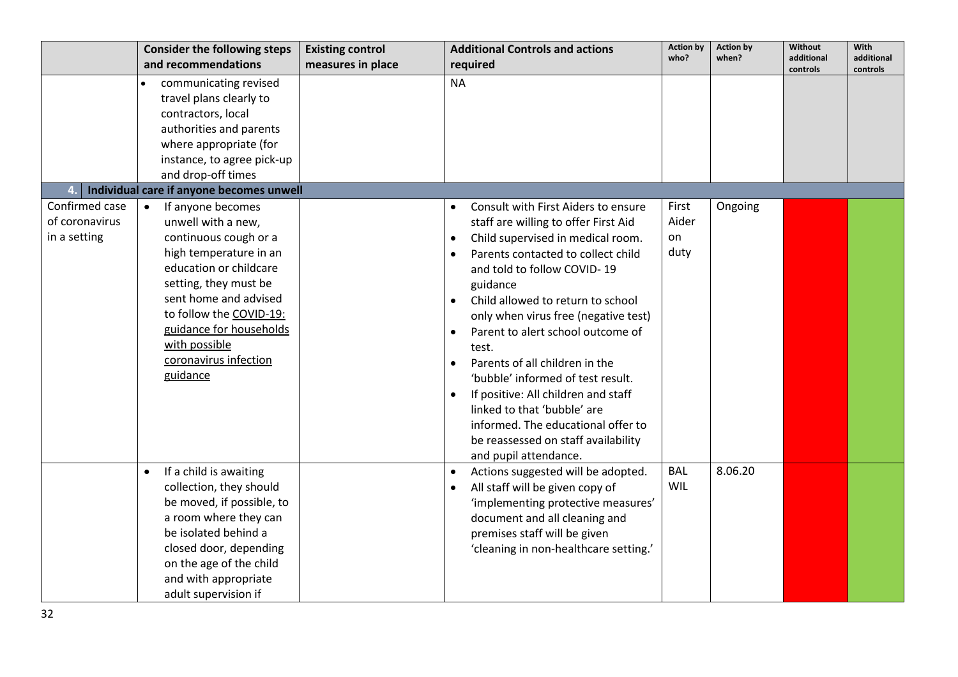|                                                  | <b>Consider the following steps</b><br>and recommendations                                                                                                                                                                                                                                      | <b>Existing control</b> | <b>Additional Controls and actions</b><br>required                                                                                                                                                                                                                                                                                                                                                                                                                                                                                                                  | <b>Action by</b><br>who?     | <b>Action by</b><br>when? | <b>Without</b><br>additional | With<br>additional |
|--------------------------------------------------|-------------------------------------------------------------------------------------------------------------------------------------------------------------------------------------------------------------------------------------------------------------------------------------------------|-------------------------|---------------------------------------------------------------------------------------------------------------------------------------------------------------------------------------------------------------------------------------------------------------------------------------------------------------------------------------------------------------------------------------------------------------------------------------------------------------------------------------------------------------------------------------------------------------------|------------------------------|---------------------------|------------------------------|--------------------|
|                                                  |                                                                                                                                                                                                                                                                                                 | measures in place       |                                                                                                                                                                                                                                                                                                                                                                                                                                                                                                                                                                     |                              |                           | controls                     | controls           |
|                                                  | communicating revised<br>travel plans clearly to<br>contractors, local                                                                                                                                                                                                                          |                         | <b>NA</b>                                                                                                                                                                                                                                                                                                                                                                                                                                                                                                                                                           |                              |                           |                              |                    |
|                                                  | authorities and parents                                                                                                                                                                                                                                                                         |                         |                                                                                                                                                                                                                                                                                                                                                                                                                                                                                                                                                                     |                              |                           |                              |                    |
|                                                  | where appropriate (for                                                                                                                                                                                                                                                                          |                         |                                                                                                                                                                                                                                                                                                                                                                                                                                                                                                                                                                     |                              |                           |                              |                    |
|                                                  | instance, to agree pick-up<br>and drop-off times                                                                                                                                                                                                                                                |                         |                                                                                                                                                                                                                                                                                                                                                                                                                                                                                                                                                                     |                              |                           |                              |                    |
|                                                  | Individual care if anyone becomes unwell                                                                                                                                                                                                                                                        |                         |                                                                                                                                                                                                                                                                                                                                                                                                                                                                                                                                                                     |                              |                           |                              |                    |
| Confirmed case<br>of coronavirus<br>in a setting | If anyone becomes<br>$\bullet$<br>unwell with a new,<br>continuous cough or a<br>high temperature in an<br>education or childcare<br>setting, they must be<br>sent home and advised<br>to follow the COVID-19:<br>guidance for households<br>with possible<br>coronavirus infection<br>guidance |                         | Consult with First Aiders to ensure<br>staff are willing to offer First Aid<br>Child supervised in medical room.<br>$\bullet$<br>Parents contacted to collect child<br>and told to follow COVID-19<br>guidance<br>Child allowed to return to school<br>only when virus free (negative test)<br>Parent to alert school outcome of<br>test.<br>Parents of all children in the<br>'bubble' informed of test result.<br>If positive: All children and staff<br>linked to that 'bubble' are<br>informed. The educational offer to<br>be reassessed on staff availability | First<br>Aider<br>on<br>duty | Ongoing                   |                              |                    |
|                                                  | If a child is awaiting<br>$\bullet$<br>collection, they should<br>be moved, if possible, to<br>a room where they can<br>be isolated behind a<br>closed door, depending<br>on the age of the child<br>and with appropriate<br>adult supervision if                                               |                         | and pupil attendance.<br>Actions suggested will be adopted.<br>$\bullet$<br>All staff will be given copy of<br>'implementing protective measures'<br>document and all cleaning and<br>premises staff will be given<br>'cleaning in non-healthcare setting.'                                                                                                                                                                                                                                                                                                         | <b>BAL</b><br>WIL            | 8.06.20                   |                              |                    |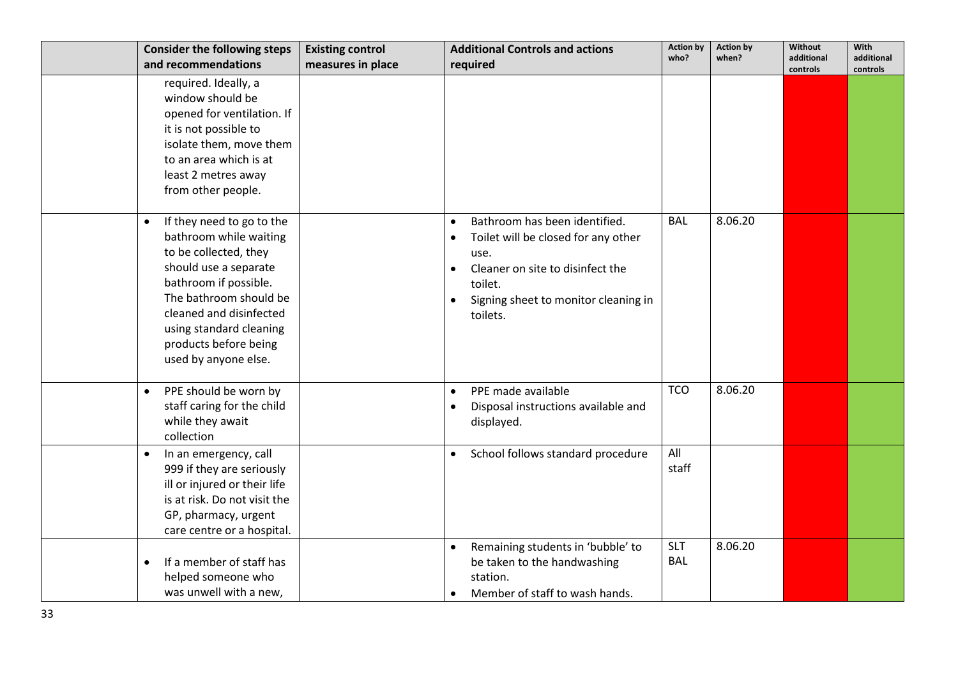| <b>Consider the following steps</b>                                                                                                                                                                                                                                          | <b>Existing control</b> | <b>Additional Controls and actions</b>                                                                                                                                                                                              | <b>Action by</b>         | <b>Action by</b> | Without                | <b>With</b>            |
|------------------------------------------------------------------------------------------------------------------------------------------------------------------------------------------------------------------------------------------------------------------------------|-------------------------|-------------------------------------------------------------------------------------------------------------------------------------------------------------------------------------------------------------------------------------|--------------------------|------------------|------------------------|------------------------|
| and recommendations                                                                                                                                                                                                                                                          | measures in place       | required                                                                                                                                                                                                                            | who?                     | when?            | additional<br>controls | additional<br>controls |
| required. Ideally, a<br>window should be<br>opened for ventilation. If<br>it is not possible to<br>isolate them, move them<br>to an area which is at<br>least 2 metres away<br>from other people.                                                                            |                         |                                                                                                                                                                                                                                     |                          |                  |                        |                        |
| If they need to go to the<br>$\bullet$<br>bathroom while waiting<br>to be collected, they<br>should use a separate<br>bathroom if possible.<br>The bathroom should be<br>cleaned and disinfected<br>using standard cleaning<br>products before being<br>used by anyone else. |                         | Bathroom has been identified.<br>$\bullet$<br>Toilet will be closed for any other<br>$\bullet$<br>use.<br>Cleaner on site to disinfect the<br>$\bullet$<br>toilet.<br>Signing sheet to monitor cleaning in<br>$\bullet$<br>toilets. | <b>BAL</b>               | 8.06.20          |                        |                        |
| PPE should be worn by<br>$\bullet$<br>staff caring for the child<br>while they await<br>collection                                                                                                                                                                           |                         | PPE made available<br>$\bullet$<br>Disposal instructions available and<br>$\bullet$<br>displayed.                                                                                                                                   | <b>TCO</b>               | 8.06.20          |                        |                        |
| In an emergency, call<br>$\bullet$<br>999 if they are seriously<br>ill or injured or their life<br>is at risk. Do not visit the<br>GP, pharmacy, urgent<br>care centre or a hospital.                                                                                        |                         | School follows standard procedure<br>$\bullet$                                                                                                                                                                                      | All<br>staff             |                  |                        |                        |
| If a member of staff has<br>$\bullet$<br>helped someone who<br>was unwell with a new,                                                                                                                                                                                        |                         | Remaining students in 'bubble' to<br>$\bullet$<br>be taken to the handwashing<br>station.<br>Member of staff to wash hands.                                                                                                         | <b>SLT</b><br><b>BAL</b> | 8.06.20          |                        |                        |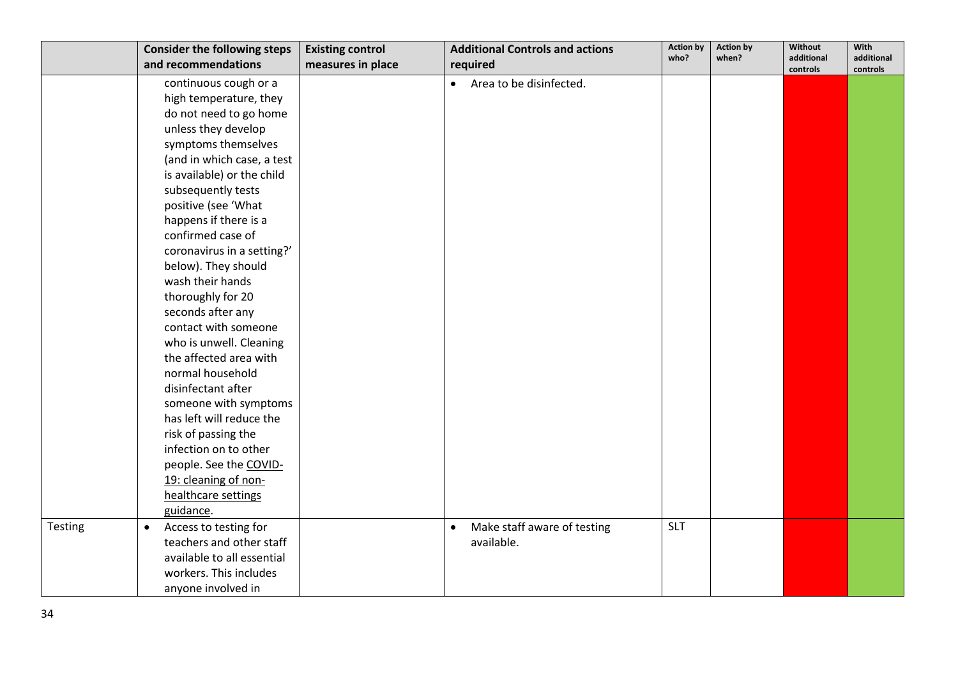|         | <b>Consider the following steps</b> | <b>Existing control</b> | <b>Additional Controls and actions</b>   | <b>Action by</b> | <b>Action by</b> | Without                | With                   |
|---------|-------------------------------------|-------------------------|------------------------------------------|------------------|------------------|------------------------|------------------------|
|         | and recommendations                 | measures in place       | required                                 | who?             | when?            | additional<br>controls | additional<br>controls |
|         | continuous cough or a               |                         | Area to be disinfected.<br>$\bullet$     |                  |                  |                        |                        |
|         | high temperature, they              |                         |                                          |                  |                  |                        |                        |
|         | do not need to go home              |                         |                                          |                  |                  |                        |                        |
|         | unless they develop                 |                         |                                          |                  |                  |                        |                        |
|         | symptoms themselves                 |                         |                                          |                  |                  |                        |                        |
|         | (and in which case, a test          |                         |                                          |                  |                  |                        |                        |
|         | is available) or the child          |                         |                                          |                  |                  |                        |                        |
|         | subsequently tests                  |                         |                                          |                  |                  |                        |                        |
|         | positive (see 'What                 |                         |                                          |                  |                  |                        |                        |
|         | happens if there is a               |                         |                                          |                  |                  |                        |                        |
|         | confirmed case of                   |                         |                                          |                  |                  |                        |                        |
|         | coronavirus in a setting?'          |                         |                                          |                  |                  |                        |                        |
|         | below). They should                 |                         |                                          |                  |                  |                        |                        |
|         | wash their hands                    |                         |                                          |                  |                  |                        |                        |
|         | thoroughly for 20                   |                         |                                          |                  |                  |                        |                        |
|         | seconds after any                   |                         |                                          |                  |                  |                        |                        |
|         | contact with someone                |                         |                                          |                  |                  |                        |                        |
|         | who is unwell. Cleaning             |                         |                                          |                  |                  |                        |                        |
|         | the affected area with              |                         |                                          |                  |                  |                        |                        |
|         | normal household                    |                         |                                          |                  |                  |                        |                        |
|         | disinfectant after                  |                         |                                          |                  |                  |                        |                        |
|         | someone with symptoms               |                         |                                          |                  |                  |                        |                        |
|         | has left will reduce the            |                         |                                          |                  |                  |                        |                        |
|         | risk of passing the                 |                         |                                          |                  |                  |                        |                        |
|         | infection on to other               |                         |                                          |                  |                  |                        |                        |
|         | people. See the COVID-              |                         |                                          |                  |                  |                        |                        |
|         | 19: cleaning of non-                |                         |                                          |                  |                  |                        |                        |
|         | healthcare settings                 |                         |                                          |                  |                  |                        |                        |
|         | guidance.                           |                         |                                          |                  |                  |                        |                        |
| Testing | Access to testing for<br>$\bullet$  |                         | Make staff aware of testing<br>$\bullet$ | <b>SLT</b>       |                  |                        |                        |
|         | teachers and other staff            |                         | available.                               |                  |                  |                        |                        |
|         | available to all essential          |                         |                                          |                  |                  |                        |                        |
|         | workers. This includes              |                         |                                          |                  |                  |                        |                        |
|         | anyone involved in                  |                         |                                          |                  |                  |                        |                        |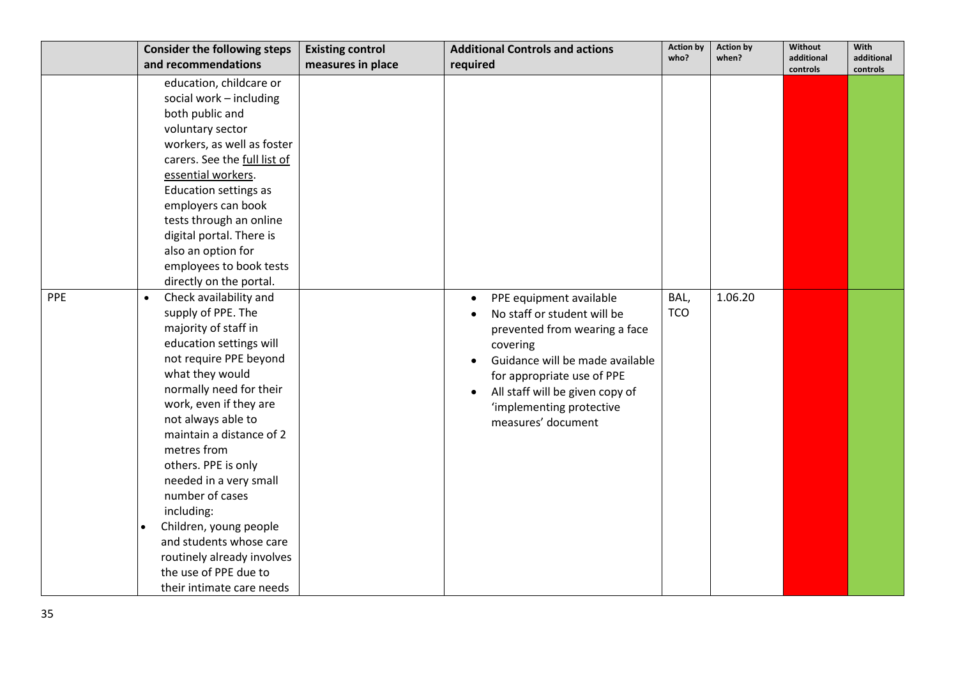|     | <b>Consider the following steps</b> | <b>Existing control</b> | <b>Additional Controls and actions</b> | <b>Action by</b> | <b>Action by</b> | Without                | With                   |
|-----|-------------------------------------|-------------------------|----------------------------------------|------------------|------------------|------------------------|------------------------|
|     | and recommendations                 | measures in place       | required                               | who?             | when?            | additional<br>controls | additional<br>controls |
|     | education, childcare or             |                         |                                        |                  |                  |                        |                        |
|     | social work - including             |                         |                                        |                  |                  |                        |                        |
|     | both public and                     |                         |                                        |                  |                  |                        |                        |
|     | voluntary sector                    |                         |                                        |                  |                  |                        |                        |
|     | workers, as well as foster          |                         |                                        |                  |                  |                        |                        |
|     | carers. See the full list of        |                         |                                        |                  |                  |                        |                        |
|     | essential workers.                  |                         |                                        |                  |                  |                        |                        |
|     | Education settings as               |                         |                                        |                  |                  |                        |                        |
|     | employers can book                  |                         |                                        |                  |                  |                        |                        |
|     | tests through an online             |                         |                                        |                  |                  |                        |                        |
|     | digital portal. There is            |                         |                                        |                  |                  |                        |                        |
|     | also an option for                  |                         |                                        |                  |                  |                        |                        |
|     | employees to book tests             |                         |                                        |                  |                  |                        |                        |
|     | directly on the portal.             |                         |                                        |                  |                  |                        |                        |
| PPE | Check availability and<br>$\bullet$ |                         | PPE equipment available                | BAL,             | 1.06.20          |                        |                        |
|     | supply of PPE. The                  |                         | No staff or student will be            | <b>TCO</b>       |                  |                        |                        |
|     | majority of staff in                |                         | prevented from wearing a face          |                  |                  |                        |                        |
|     | education settings will             |                         | covering                               |                  |                  |                        |                        |
|     | not require PPE beyond              |                         | Guidance will be made available        |                  |                  |                        |                        |
|     | what they would                     |                         | for appropriate use of PPE             |                  |                  |                        |                        |
|     | normally need for their             |                         | All staff will be given copy of        |                  |                  |                        |                        |
|     | work, even if they are              |                         | 'implementing protective               |                  |                  |                        |                        |
|     | not always able to                  |                         | measures' document                     |                  |                  |                        |                        |
|     | maintain a distance of 2            |                         |                                        |                  |                  |                        |                        |
|     | metres from                         |                         |                                        |                  |                  |                        |                        |
|     | others. PPE is only                 |                         |                                        |                  |                  |                        |                        |
|     | needed in a very small              |                         |                                        |                  |                  |                        |                        |
|     | number of cases                     |                         |                                        |                  |                  |                        |                        |
|     | including:                          |                         |                                        |                  |                  |                        |                        |
|     | Children, young people              |                         |                                        |                  |                  |                        |                        |
|     | and students whose care             |                         |                                        |                  |                  |                        |                        |
|     | routinely already involves          |                         |                                        |                  |                  |                        |                        |
|     | the use of PPE due to               |                         |                                        |                  |                  |                        |                        |
|     | their intimate care needs           |                         |                                        |                  |                  |                        |                        |